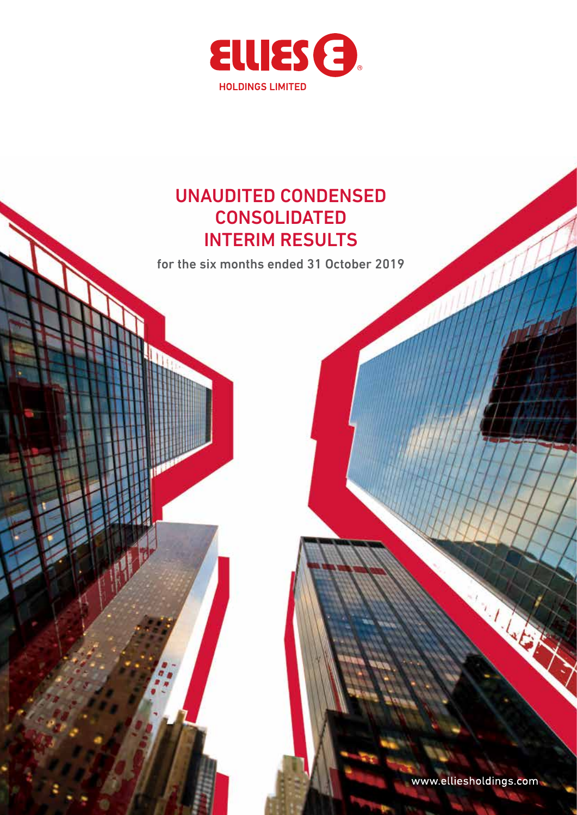

### UNAUDITED CONDENSED CONSOLIDATED INTERIM RESULTS

for the six months ended 31 October 2019

www.elliesholdings.com

**CALLED**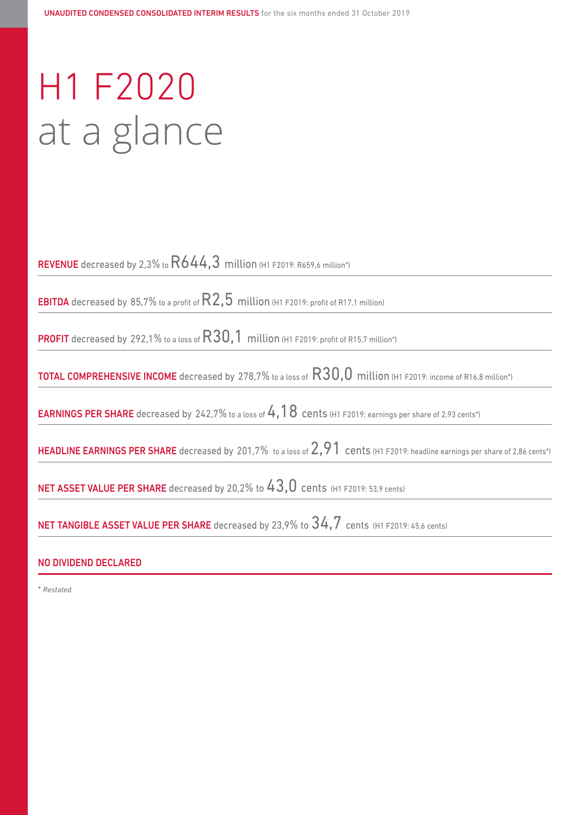# H1 F2020 at a glance

REVENUE decreased by 2,3% to  $R644,3$  million (H1 F2019: R659,6 million\*)

**EBITDA** decreased by 85,7% to a profit of  $R2,5$  million (H1 F2019: profit of R17,1 million)

**PROFIT** decreased by 292,1% to a loss of  $R30,1$  million (H1 F2019: profit of R15,7 million\*)

TOTAL COMPREHENSIVE INCOME decreased by 278,7% to a loss of R30,0 million (H1 F2019: income of R16,8 million\*)

**EARNINGS PER SHARE** decreased by 242,7% to a loss of  $4,18$  cents (H1 F2019: earnings per share of 2,93 cents\*)

HEADLINE EARNINGS PER SHARE decreased by 201,7% to a loss of 2,91 cents (H1 F2019: headline earnings per share of 2,86 cents\*)

NET ASSET VALUE PER SHARE decreased by 20,2% to  $43,0$  cents (H1 F2019: 53,9 cents)

NET TANGIBLE ASSET VALUE PER SHARE decreased by 23,9% to  $34.7$  cents (H1 F2019: 45,6 cents)

### NO DIVIDEND DECLARED

\* *Restated.*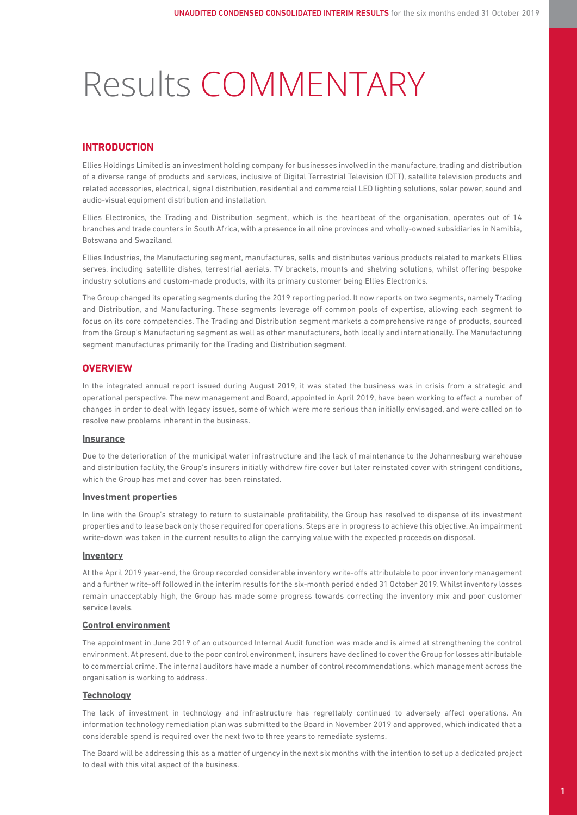# Results COMMENTARY

### **INTRODUCTION**

Ellies Holdings Limited is an investment holding company for businesses involved in the manufacture, trading and distribution of a diverse range of products and services, inclusive of Digital Terrestrial Television (DTT), satellite television products and related accessories, electrical, signal distribution, residential and commercial LED lighting solutions, solar power, sound and audio-visual equipment distribution and installation.

Ellies Electronics, the Trading and Distribution segment, which is the heartbeat of the organisation, operates out of 14 branches and trade counters in South Africa, with a presence in all nine provinces and wholly-owned subsidiaries in Namibia, Botswana and Swaziland.

Ellies Industries, the Manufacturing segment, manufactures, sells and distributes various products related to markets Ellies serves, including satellite dishes, terrestrial aerials, TV brackets, mounts and shelving solutions, whilst offering bespoke industry solutions and custom-made products, with its primary customer being Ellies Electronics.

The Group changed its operating segments during the 2019 reporting period. It now reports on two segments, namely Trading and Distribution, and Manufacturing. These segments leverage off common pools of expertise, allowing each segment to focus on its core competencies. The Trading and Distribution segment markets a comprehensive range of products, sourced from the Group's Manufacturing segment as well as other manufacturers, both locally and internationally. The Manufacturing segment manufactures primarily for the Trading and Distribution segment.

### **OVERVIEW**

In the integrated annual report issued during August 2019, it was stated the business was in crisis from a strategic and operational perspective. The new management and Board, appointed in April 2019, have been working to effect a number of changes in order to deal with legacy issues, some of which were more serious than initially envisaged, and were called on to resolve new problems inherent in the business.

#### **Insurance**

Due to the deterioration of the municipal water infrastructure and the lack of maintenance to the Johannesburg warehouse and distribution facility, the Group's insurers initially withdrew fire cover but later reinstated cover with stringent conditions, which the Group has met and cover has been reinstated.

#### **Investment properties**

In line with the Group's strategy to return to sustainable profitability, the Group has resolved to dispense of its investment properties and to lease back only those required for operations. Steps are in progress to achieve this objective. An impairment write-down was taken in the current results to align the carrying value with the expected proceeds on disposal.

#### **Inventory**

At the April 2019 year-end, the Group recorded considerable inventory write-offs attributable to poor inventory management and a further write-off followed in the interim results for the six-month period ended 31 October 2019. Whilst inventory losses remain unacceptably high, the Group has made some progress towards correcting the inventory mix and poor customer service levels.

#### **Control environment**

The appointment in June 2019 of an outsourced Internal Audit function was made and is aimed at strengthening the control environment. At present, due to the poor control environment, insurers have declined to cover the Group for losses attributable to commercial crime. The internal auditors have made a number of control recommendations, which management across the organisation is working to address.

### **Technology**

The lack of investment in technology and infrastructure has regrettably continued to adversely affect operations. An information technology remediation plan was submitted to the Board in November 2019 and approved, which indicated that a considerable spend is required over the next two to three years to remediate systems.

The Board will be addressing this as a matter of urgency in the next six months with the intention to set up a dedicated project to deal with this vital aspect of the business.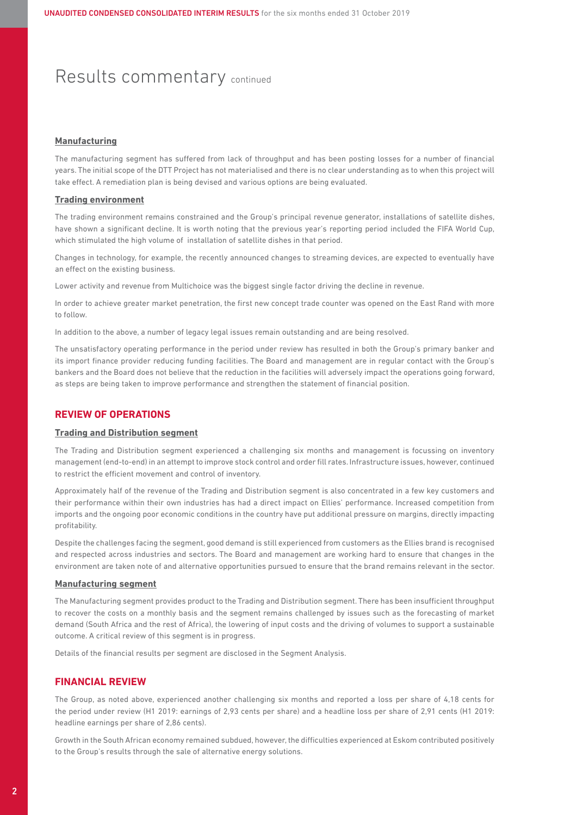### Results commentary continued

#### **Manufacturing**

The manufacturing segment has suffered from lack of throughput and has been posting losses for a number of financial years. The initial scope of the DTT Project has not materialised and there is no clear understanding as to when this project will take effect. A remediation plan is being devised and various options are being evaluated.

#### **Trading environment**

The trading environment remains constrained and the Group's principal revenue generator, installations of satellite dishes, have shown a significant decline. It is worth noting that the previous year's reporting period included the FIFA World Cup, which stimulated the high volume of installation of satellite dishes in that period.

Changes in technology, for example, the recently announced changes to streaming devices, are expected to eventually have an effect on the existing business.

Lower activity and revenue from Multichoice was the biggest single factor driving the decline in revenue.

In order to achieve greater market penetration, the first new concept trade counter was opened on the East Rand with more to follow.

In addition to the above, a number of legacy legal issues remain outstanding and are being resolved.

The unsatisfactory operating performance in the period under review has resulted in both the Group's primary banker and its import finance provider reducing funding facilities. The Board and management are in regular contact with the Group's bankers and the Board does not believe that the reduction in the facilities will adversely impact the operations going forward, as steps are being taken to improve performance and strengthen the statement of financial position.

### **REVIEW OF OPERATIONS**

#### **Trading and Distribution segment**

The Trading and Distribution segment experienced a challenging six months and management is focussing on inventory management (end-to-end) in an attempt to improve stock control and order fill rates. Infrastructure issues, however, continued to restrict the efficient movement and control of inventory.

Approximately half of the revenue of the Trading and Distribution segment is also concentrated in a few key customers and their performance within their own industries has had a direct impact on Ellies' performance. Increased competition from imports and the ongoing poor economic conditions in the country have put additional pressure on margins, directly impacting profitability.

Despite the challenges facing the segment, good demand is still experienced from customers as the Ellies brand is recognised and respected across industries and sectors. The Board and management are working hard to ensure that changes in the environment are taken note of and alternative opportunities pursued to ensure that the brand remains relevant in the sector.

#### **Manufacturing segment**

The Manufacturing segment provides product to the Trading and Distribution segment. There has been insufficient throughput to recover the costs on a monthly basis and the segment remains challenged by issues such as the forecasting of market demand (South Africa and the rest of Africa), the lowering of input costs and the driving of volumes to support a sustainable outcome. A critical review of this segment is in progress.

Details of the financial results per segment are disclosed in the Segment Analysis.

#### **FINANCIAL REVIEW**

The Group, as noted above, experienced another challenging six months and reported a loss per share of 4,18 cents for the period under review (H1 2019: earnings of 2,93 cents per share) and a headline loss per share of 2,91 cents (H1 2019: headline earnings per share of 2,86 cents).

Growth in the South African economy remained subdued, however, the difficulties experienced at Eskom contributed positively to the Group's results through the sale of alternative energy solutions.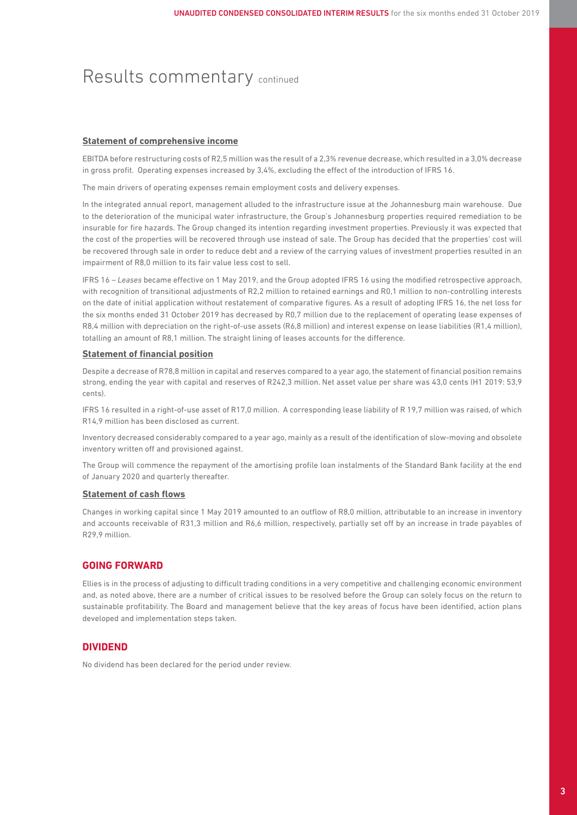### Results commentary continued

#### **Statement of comprehensive income**

EBITDA before restructuring costs of R2,5 million was the result of a 2,3% revenue decrease, which resulted in a 3,0% decrease in gross profit. Operating expenses increased by 3,4%, excluding the effect of the introduction of IFRS 16.

The main drivers of operating expenses remain employment costs and delivery expenses.

In the integrated annual report, management alluded to the infrastructure issue at the Johannesburg main warehouse. Due to the deterioration of the municipal water infrastructure, the Group's Johannesburg properties required remediation to be insurable for fire hazards. The Group changed its intention regarding investment properties. Previously it was expected that the cost of the properties will be recovered through use instead of sale. The Group has decided that the properties' cost will be recovered through sale in order to reduce debt and a review of the carrying values of investment properties resulted in an impairment of R8,0 million to its fair value less cost to sell.

IFRS 16 – *Leases* became effective on 1 May 2019, and the Group adopted IFRS 16 using the modified retrospective approach, with recognition of transitional adjustments of R2,2 million to retained earnings and R0,1 million to non-controlling interests on the date of initial application without restatement of comparative figures. As a result of adopting IFRS 16, the net loss for the six months ended 31 October 2019 has decreased by R0,7 million due to the replacement of operating lease expenses of R8,4 million with depreciation on the right-of-use assets (R6,8 million) and interest expense on lease liabilities (R1,4 million), totalling an amount of R8,1 million. The straight lining of leases accounts for the difference.

#### **Statement of financial position**

Despite a decrease of R78,8 million in capital and reserves compared to a year ago, the statement of financial position remains strong, ending the year with capital and reserves of R242,3 million. Net asset value per share was 43,0 cents (H1 2019: 53,9 cents).

IFRS 16 resulted in a right-of-use asset of R17,0 million. A corresponding lease liability of R 19,7 million was raised, of which R14,9 million has been disclosed as current.

Inventory decreased considerably compared to a year ago, mainly as a result of the identification of slow-moving and obsolete inventory written off and provisioned against.

The Group will commence the repayment of the amortising profile loan instalments of the Standard Bank facility at the end of January 2020 and quarterly thereafter.

#### **Statement of cash flows**

Changes in working capital since 1 May 2019 amounted to an outflow of R8,0 million, attributable to an increase in inventory and accounts receivable of R31,3 million and R6,6 million, respectively, partially set off by an increase in trade payables of R29,9 million.

### **GOING FORWARD**

Ellies is in the process of adjusting to difficult trading conditions in a very competitive and challenging economic environment and, as noted above, there are a number of critical issues to be resolved before the Group can solely focus on the return to sustainable profitability. The Board and management believe that the key areas of focus have been identified, action plans developed and implementation steps taken.

### **DIVIDEND**

No dividend has been declared for the period under review.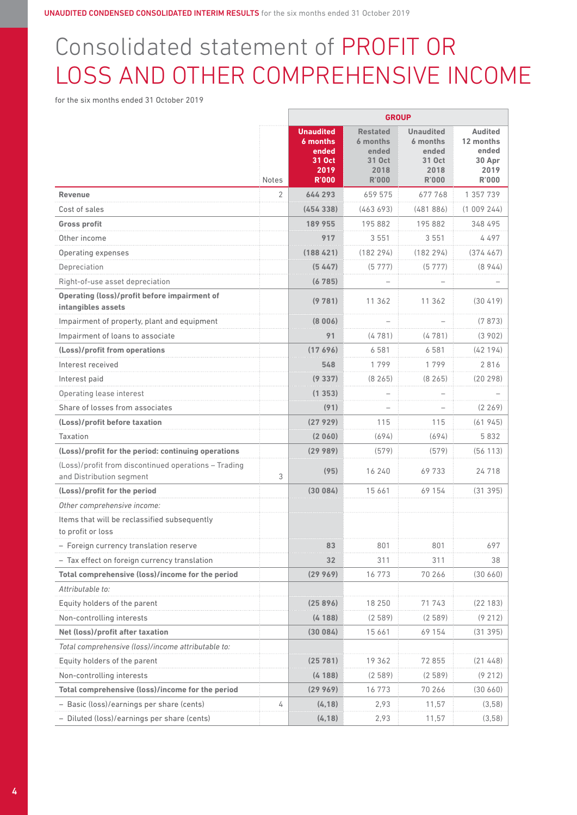# Consolidated statement of PROFIT OR LOSS AND OTHER COMPREHENSIVE INCOME

for the six months ended 31 October 2019

|                                                                                  |              | <b>GROUP</b>                                                            |                                                                        |                                                                         |                                                                 |
|----------------------------------------------------------------------------------|--------------|-------------------------------------------------------------------------|------------------------------------------------------------------------|-------------------------------------------------------------------------|-----------------------------------------------------------------|
|                                                                                  | <b>Notes</b> | <b>Unaudited</b><br>6 months<br>ended<br>31 Oct<br>2019<br><b>R'000</b> | <b>Restated</b><br>6 months<br>ended<br>31 Oct<br>2018<br><b>R'000</b> | <b>Unaudited</b><br>6 months<br>ended<br>31 Oct<br>2018<br><b>R'000</b> | <b>Audited</b><br>12 months<br>ended<br>30 Apr<br>2019<br>R'000 |
| <b>Revenue</b>                                                                   | 2            | 644 293                                                                 | 659 575                                                                | 677768                                                                  | 1 357 739                                                       |
| Cost of sales                                                                    |              | (454338)                                                                | (463693)                                                               | (481886)                                                                | (1009244)                                                       |
| <b>Gross profit</b>                                                              |              | 189 955                                                                 | 195 882                                                                | 195882                                                                  | 348 495                                                         |
| Other income                                                                     |              | 917                                                                     | 3 5 5 1                                                                | 3551                                                                    | 4 497                                                           |
| Operating expenses                                                               |              | (188421)                                                                | (182 294)                                                              | (182294)                                                                | (374467)                                                        |
| Depreciation                                                                     |              | (5447)                                                                  | (5777)                                                                 | (5777)                                                                  | (8944)                                                          |
| Right-of-use asset depreciation                                                  |              | (6785)                                                                  |                                                                        |                                                                         |                                                                 |
| <b>Operating (loss)/profit before impairment of</b><br>intangibles assets        |              | (9781)                                                                  | 11 362                                                                 | 11 362                                                                  | (30419)                                                         |
| Impairment of property, plant and equipment                                      |              | (8006)                                                                  |                                                                        |                                                                         | (7873)                                                          |
| Impairment of loans to associate                                                 |              | 91                                                                      | (4781)                                                                 | (4781)                                                                  | (3902)                                                          |
| (Loss)/profit from operations                                                    |              | (17696)                                                                 | 6581                                                                   | 6581                                                                    | (42194)                                                         |
| Interest received                                                                |              | 548                                                                     | 1799                                                                   | 1799                                                                    | 2816                                                            |
| Interest paid                                                                    |              | (9337)                                                                  | (8265)                                                                 | (8265)                                                                  | (20 298)                                                        |
| Operating lease interest                                                         |              | (1353)                                                                  |                                                                        |                                                                         |                                                                 |
| Share of losses from associates                                                  |              | (91)                                                                    |                                                                        |                                                                         | (2269)                                                          |
| (Loss)/profit before taxation                                                    |              | (27929)                                                                 | 115                                                                    | 115                                                                     | (61945)                                                         |
| Taxation                                                                         |              | (2060)                                                                  | (694)                                                                  | (694)                                                                   | 5 832                                                           |
| (Loss)/profit for the period: continuing operations                              |              | (2998)                                                                  | (579)                                                                  | (579)                                                                   | (56113)                                                         |
| (Loss)/profit from discontinued operations - Trading<br>and Distribution segment | 3            | (95)                                                                    | 16 240                                                                 | 69733                                                                   | 24718                                                           |
| (Loss)/profit for the period                                                     |              | (30084)                                                                 | 15 661                                                                 | 69 154                                                                  | (31395)                                                         |
| Other comprehensive income:                                                      |              |                                                                         |                                                                        |                                                                         |                                                                 |
| Items that will be reclassified subsequently<br>to profit or loss                |              |                                                                         |                                                                        |                                                                         |                                                                 |
| - Foreign currency translation reserve                                           |              | 83                                                                      | 801                                                                    | 801                                                                     | 697                                                             |
| - Tax effect on foreign currency translation                                     |              | 32                                                                      | 311                                                                    | 311                                                                     | 38                                                              |
| Total comprehensive (loss)/income for the period                                 |              | (29969)                                                                 | 16773                                                                  | 70 266                                                                  | (30 660)                                                        |
| Attributable to:                                                                 |              |                                                                         |                                                                        |                                                                         |                                                                 |
| Equity holders of the parent                                                     |              |                                                                         | 18 250                                                                 | 71 743                                                                  | (22183)                                                         |
| Non-controlling interests                                                        |              | (4188)                                                                  | (2589)                                                                 | (2589)                                                                  | (9212)                                                          |
| Net (loss)/profit after taxation                                                 |              | (30084)                                                                 | 15 6 6 1                                                               | 69 154                                                                  | (31395)                                                         |
| Total comprehensive (loss)/income attributable to:                               |              |                                                                         |                                                                        |                                                                         |                                                                 |
| Equity holders of the parent                                                     |              | 25 781)                                                                 | 19362                                                                  | 72 855                                                                  | (21448)                                                         |
| Non-controlling interests                                                        |              | (4188)                                                                  | (2589)                                                                 | (2589)                                                                  | (9212)                                                          |
| Total comprehensive (loss)/income for the period                                 |              | (29969)                                                                 | 16773                                                                  | 70 266                                                                  | (30 660)                                                        |
| - Basic (loss)/earnings per share (cents)                                        | 4            | (4, 18)                                                                 | 2,93                                                                   | 11,57                                                                   | (3,58)                                                          |
| - Diluted (loss)/earnings per share (cents)                                      |              | (4, 18)                                                                 | 2,93                                                                   | 11,57                                                                   | (3,58)                                                          |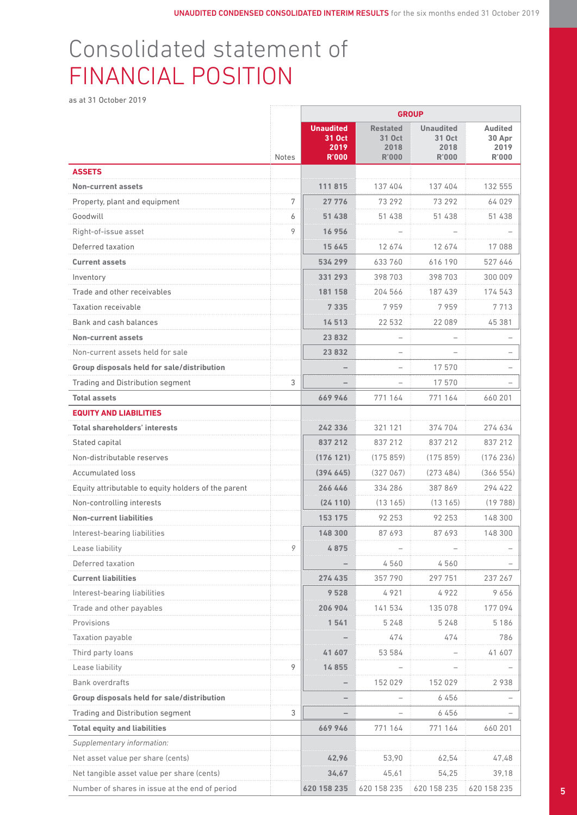## Consolidated statement of FINANCIAL POSITION

as at 31 October 2019

|                                                     |                |                                                    | <b>GROUP</b>                                      |                                                    |                                           |
|-----------------------------------------------------|----------------|----------------------------------------------------|---------------------------------------------------|----------------------------------------------------|-------------------------------------------|
|                                                     | Notes          | <b>Unaudited</b><br>31 Oct<br>2019<br><b>R'000</b> | <b>Restated</b><br>31 Oct<br>2018<br><b>R'000</b> | <b>Unaudited</b><br>31 Oct<br>2018<br><b>R'000</b> | Audited<br>30 Apr<br>2019<br><b>R'000</b> |
| <b>ASSETS</b>                                       |                |                                                    |                                                   |                                                    |                                           |
| <b>Non-current assets</b>                           |                | 111815                                             | 137 404                                           | 137 404                                            | 132 555                                   |
| Property, plant and equipment                       | $\overline{7}$ | 27 7 7 6                                           | 73 29 2                                           | 73 29 2                                            | 64 029                                    |
| Goodwill                                            | 6              | 51 438                                             | 51 438                                            | 51 438                                             | 51 438                                    |
| Right-of-issue asset                                | Q              | 16 956                                             | $\overline{\phantom{a}}$                          | $\sim$                                             |                                           |
| Deferred taxation                                   |                | 15 6 45                                            | 12674                                             | 12674                                              | 17088                                     |
| <b>Current assets</b>                               |                | 534 299                                            | 633760                                            | 616 190                                            | 527 646                                   |
| Inventory                                           |                | 331 293                                            | 398 703                                           | 398 703                                            | 300 009                                   |
| Trade and other receivables                         |                | 181 158                                            | 204 566                                           | 187 439                                            | 174543                                    |
| <b>Taxation receivable</b>                          |                | 7 3 3 5                                            | 7959                                              | 7959                                               | 7713                                      |
| Bank and cash balances                              |                | 14513                                              | 22 532                                            | 22 089                                             | 45 381                                    |
| <b>Non-current assets</b>                           |                | 23 8 32                                            | $ \,$                                             | $\overline{\phantom{a}}$                           | $\overline{\phantom{m}}$                  |
| Non-current assets held for sale                    |                | 23 8 32                                            | $ \,$                                             | $\overline{\phantom{a}}$                           | $\overline{\phantom{a}}$                  |
| Group disposals held for sale/distribution          |                | $\overline{\phantom{a}}$                           | $ \,$                                             | 17570                                              |                                           |
| Trading and Distribution segment                    | $\overline{3}$ |                                                    | $\sim$                                            | 17570                                              | $\overline{\phantom{0}}$                  |
| <b>Total assets</b>                                 |                | 669946                                             | 771 164                                           | 771 164                                            | 660 201                                   |
| <b>EQUITY AND LIABILITIES</b>                       |                |                                                    |                                                   |                                                    |                                           |
| <b>Total shareholders' interests</b>                |                | 242 336                                            | 321 121                                           | 374 704                                            | 274 634                                   |
| Stated capital                                      |                | 837 212                                            | 837 212                                           | 837 212                                            | 837 212                                   |
| Non-distributable reserves                          |                | (176121)                                           | (175859)                                          | (175859)                                           | (176 236)                                 |
| Accumulated loss                                    |                | (394645)                                           | (327067)                                          | (273484)                                           | (366554)                                  |
| Equity attributable to equity holders of the parent |                | 266 446                                            | 334 286                                           | 387 869                                            | 294 422                                   |
| Non-controlling interests                           |                | (24110)                                            | (13165)                                           | (13165)                                            | (19788)                                   |
| <b>Non-current liabilities</b>                      |                | 153 175                                            | 92 253                                            | 92 2 53                                            | 148 300                                   |
| Interest-bearing liabilities                        |                | 148 300                                            | 87693                                             | 87693                                              | 148 300                                   |
| Lease liability                                     |                | 4875                                               | $\overline{\phantom{a}}$                          | $\overline{\phantom{0}}$                           | $\overline{\phantom{a}}$                  |
| Deferred taxation                                   |                | $\qquad \qquad -$                                  | 4560                                              | 4560                                               | $\qquad \qquad -$                         |
| <b>Current liabilities</b>                          |                | 274 435                                            | 357790                                            | 297 751                                            | 237 267                                   |
| Interest-bearing liabilities                        |                | 9 5 2 8                                            | 4921                                              | 4922                                               | 9656                                      |
| Trade and other payables                            |                | 206 904                                            | 141 534                                           | 135 078                                            | 177 094                                   |
| Provisions                                          |                | 1541                                               | 5 2 4 8                                           | 5 2 4 8                                            | 5 1 8 6                                   |
| Taxation payable                                    |                | $\qquad \qquad -$                                  | 474                                               | 474                                                | 786                                       |
| Third party loans                                   |                | 41 607                                             | 53 584                                            | $\sim$                                             | 41 607                                    |
| Lease liability                                     | 9              | 14855                                              | $\sim$                                            | $\sim$                                             | $\overline{\phantom{a}}$                  |
| Bank overdrafts                                     |                | $\overline{\phantom{a}}$                           | 152 029                                           | 152 029                                            | 2938                                      |
| Group disposals held for sale/distribution          |                | $\overline{\phantom{a}}$                           | $\sim$                                            | 6456                                               | $\overline{\phantom{0}}$                  |
| Trading and Distribution segment                    | 3              | $\overline{\phantom{a}}$                           | $\sim$                                            | 6456                                               |                                           |
| <b>Total equity and liabilities</b>                 |                | 669946                                             | 771 164                                           | 771 164                                            | 660 201                                   |
| Supplementary information:                          |                |                                                    |                                                   |                                                    |                                           |
| Net asset value per share (cents)                   |                | 42,96                                              | 53,90                                             | 62,54                                              | 47,48                                     |
| Net tangible asset value per share (cents)          |                | 34,67                                              | 45,61                                             | 54,25                                              | 39,18                                     |
| Number of shares in issue at the end of period      |                |                                                    | 620 158 235 620 158 235                           |                                                    | 620 158 235 620 158 235                   |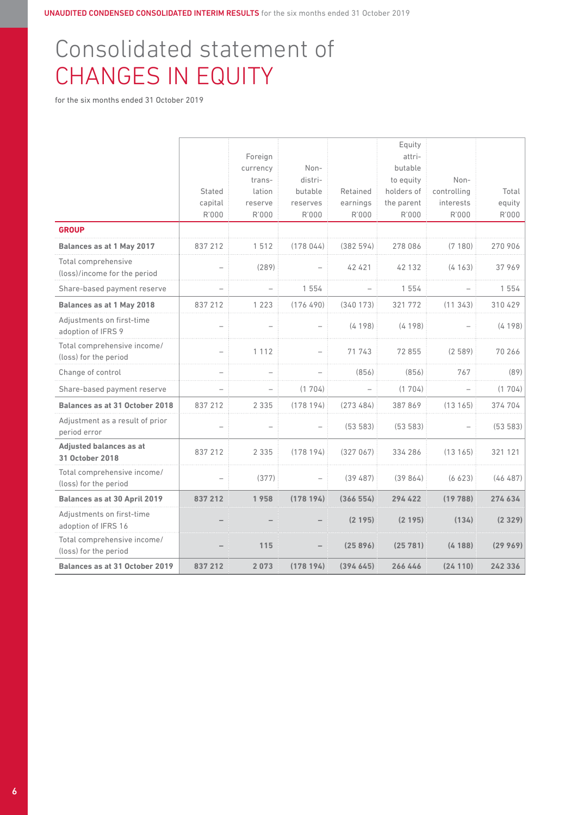# Consolidated statement of CHANGES IN EQUITY

for the six months ended 31 October 2019

|                                                      | Stated<br>capital<br>R'000 | Foreign<br>currency<br>trans-<br>lation<br>reserve<br>R'000 | Non-<br>distri-<br>butable<br>reserves<br>R'000 | Retained<br>earnings<br>R'000 | Equity<br>attri-<br>butable<br>to equity<br>holders of<br>the parent<br>R'000 | Non-<br>controlling<br>interests<br>R'000 | Total<br>equity<br>R'000 |
|------------------------------------------------------|----------------------------|-------------------------------------------------------------|-------------------------------------------------|-------------------------------|-------------------------------------------------------------------------------|-------------------------------------------|--------------------------|
| <b>GROUP</b>                                         |                            |                                                             |                                                 |                               |                                                                               |                                           |                          |
| Balances as at 1 May 2017                            | 837 212                    | 1512                                                        | (178044)                                        | (382594)                      | 278 086                                                                       | (7180)                                    | 270 906                  |
| Total comprehensive<br>(loss)/income for the period  |                            | (289)                                                       |                                                 | 42 4 21                       | 42 132                                                                        | (4163)                                    | 37969                    |
| Share-based payment reserve                          | $\overline{\phantom{0}}$   | $\qquad \qquad -$                                           | 1 5 5 4                                         |                               | 1 5 5 4                                                                       |                                           | 1 5 5 4                  |
| Balances as at 1 May 2018                            | 837 212                    | 1 2 2 3                                                     | (176490)                                        | (340173)                      | 321 772                                                                       | (11343)                                   | 310 429                  |
| Adjustments on first-time<br>adoption of IFRS 9      |                            |                                                             |                                                 | (4198)                        | (4198)                                                                        |                                           | (4198)                   |
| Total comprehensive income/<br>(loss) for the period |                            | 1 1 1 2                                                     |                                                 | 71 743                        | 72855                                                                         | (2589)                                    | 70 266                   |
| Change of control                                    |                            |                                                             |                                                 | (856)                         | (856)                                                                         | 767                                       | (89)                     |
| Share-based payment reserve                          |                            | $\overline{\phantom{0}}$                                    | (1704)                                          |                               | (1704)                                                                        |                                           | (1704)                   |
| <b>Balances as at 31 October 2018</b>                | 837 212                    | 2 3 3 5                                                     | (178194)                                        | (273484)                      | 387869                                                                        | (13165)                                   | 374 704                  |
| Adjustment as a result of prior<br>period error      |                            |                                                             |                                                 | (53583)                       | (53583)                                                                       |                                           | (53583)                  |
| <b>Adjusted balances as at</b><br>31 October 2018    | 837 212                    | 2 3 3 5                                                     | (178194)                                        | (327067)                      | 334 286                                                                       | (13165)                                   | 321 121                  |
| Total comprehensive income/<br>(loss) for the period |                            | (377)                                                       |                                                 | (39, 487)                     | (39864)                                                                       | (6623)                                    | (46487)                  |
| Balances as at 30 April 2019                         | 837 212                    | 1958                                                        | (178194)                                        | (366554)                      | 294 422                                                                       | (19788)                                   | 274634                   |
| Adjustments on first-time<br>adoption of IFRS 16     |                            |                                                             |                                                 | (2195)                        | (2195)                                                                        | (134)                                     | (2329)                   |
| Total comprehensive income/<br>(loss) for the period |                            | 115                                                         |                                                 | (25896)                       | (25781)                                                                       | (4188)                                    | (29969)                  |
| Balances as at 31 October 2019                       | 837 212                    | 2073                                                        | (178194)                                        | (394645)                      | 266446                                                                        | (24110)                                   | 242 336                  |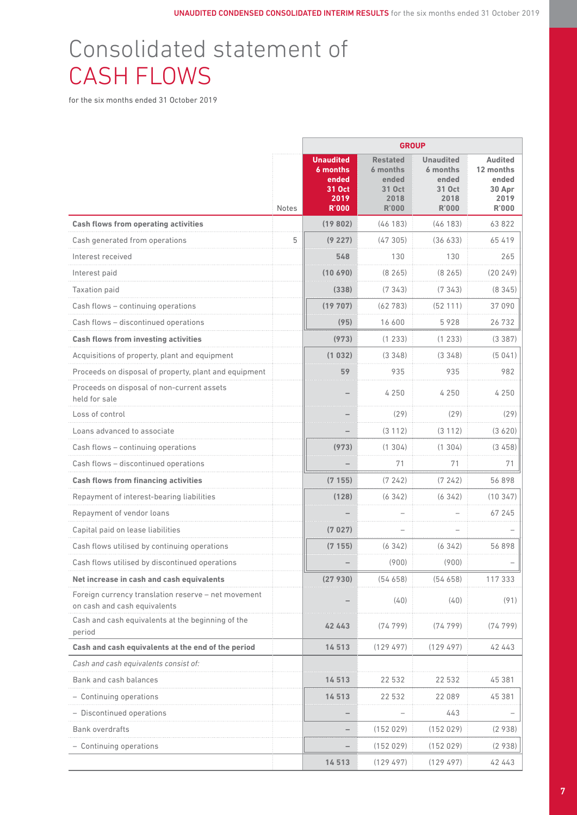# Consolidated statement of CASH FLOWS

for the six months ended 31 October 2019

|                                                                                     | <b>Notes</b> | <b>Unaudited</b><br>6 months<br>ended<br>31 Oct<br>2019<br><b>R'000</b> | <b>Restated</b><br>6 months<br>ended<br>31 Oct<br>2018<br><b>R'000</b> | <b>Unaudited</b><br>6 months<br>ended<br>31 Oct<br>2018<br><b>R'000</b> | <b>Audited</b><br>12 months<br>ended<br>30 Apr<br>2019<br><b>R'000</b> |
|-------------------------------------------------------------------------------------|--------------|-------------------------------------------------------------------------|------------------------------------------------------------------------|-------------------------------------------------------------------------|------------------------------------------------------------------------|
| <b>Cash flows from operating activities</b>                                         |              | (19802)                                                                 | (46183)                                                                | (46183)                                                                 | 63822                                                                  |
| Cash generated from operations                                                      | 5            | (9227)                                                                  | (47305)                                                                | (36633)                                                                 | 65 419                                                                 |
| Interest received                                                                   |              | 548                                                                     | 130                                                                    | 130                                                                     | 265                                                                    |
| Interest paid                                                                       |              | 10690                                                                   | (8265)                                                                 | (8265)                                                                  | (20249)                                                                |
| <b>Taxation paid</b>                                                                |              | (338)                                                                   | (7343)                                                                 | (7343)                                                                  | (8345)                                                                 |
| Cash flows - continuing operations                                                  |              | (19707)                                                                 | (62783)                                                                | (52111)                                                                 | 37 090                                                                 |
| Cash flows - discontinued operations                                                |              | (95)                                                                    | 16 600                                                                 | 5928                                                                    | 26732                                                                  |
| <b>Cash flows from investing activities</b>                                         |              | (973)                                                                   | (1 233)                                                                | (1233)                                                                  | (3387)                                                                 |
| Acquisitions of property, plant and equipment                                       |              | (1 032)                                                                 | (3348)                                                                 | (3348)                                                                  | (5041)                                                                 |
| Proceeds on disposal of property, plant and equipment                               |              | 59                                                                      | 935                                                                    | 935                                                                     | 982                                                                    |
| Proceeds on disposal of non-current assets<br>held for sale                         |              |                                                                         | 4 2 5 0                                                                | 4 2 5 0                                                                 | 4 2 5 0                                                                |
| Loss of control                                                                     |              |                                                                         | (29)                                                                   | (29)                                                                    | (29)                                                                   |
| Loans advanced to associate                                                         |              |                                                                         | (3112)                                                                 | (3112)                                                                  | (3620)                                                                 |
| Cash flows - continuing operations                                                  |              | (973)                                                                   | (1304)                                                                 | (1304)                                                                  | (3458)                                                                 |
| Cash flows - discontinued operations                                                |              |                                                                         | 71                                                                     | 71                                                                      | 71                                                                     |
| <b>Cash flows from financing activities</b>                                         |              | (7155)                                                                  | (7242)                                                                 | (7242)                                                                  | 56898                                                                  |
| Repayment of interest-bearing liabilities                                           |              | (128)                                                                   | (6342)                                                                 | (6342)                                                                  | (10347)                                                                |
| Repayment of vendor loans                                                           |              |                                                                         |                                                                        |                                                                         | 67 245                                                                 |
| Capital paid on lease liabilities                                                   |              | (7027)                                                                  |                                                                        |                                                                         |                                                                        |
| Cash flows utilised by continuing operations                                        |              | (7 155)                                                                 | (6342)                                                                 | (6342)                                                                  | 56898                                                                  |
| Cash flows utilised by discontinued operations                                      |              |                                                                         | (900)                                                                  | (900)                                                                   |                                                                        |
| Net increase in cash and cash equivalents                                           |              | (27930)                                                                 | (54658)                                                                | (54658)                                                                 | 117 333                                                                |
| Foreign currency translation reserve - net movement<br>on cash and cash equivalents |              |                                                                         | (40)                                                                   | (40)                                                                    | (91)                                                                   |
| Cash and cash equivalents at the beginning of the<br>period                         |              | 42 443                                                                  | (74799)                                                                | (74799)                                                                 | (74799)                                                                |
| Cash and cash equivalents at the end of the period                                  |              | 14513                                                                   | (129497)                                                               | (129497)                                                                | 42 443                                                                 |
| Cash and cash equivalents consist of:                                               |              |                                                                         |                                                                        |                                                                         |                                                                        |
| Bank and cash balances                                                              |              | 14 513                                                                  | 22 532                                                                 | 22 532                                                                  | 45 381                                                                 |
| - Continuing operations                                                             |              | 14513                                                                   | 22 532                                                                 | 22 089                                                                  | 45 381                                                                 |
| - Discontinued operations                                                           |              |                                                                         |                                                                        | 443                                                                     |                                                                        |
| <b>Bank overdrafts</b>                                                              |              | $\qquad \qquad$                                                         | (152029)                                                               | (152029)                                                                | (2938)                                                                 |
| - Continuing operations                                                             |              |                                                                         | (152029)                                                               | (152029)                                                                | (2938)                                                                 |
|                                                                                     |              | 14513                                                                   | (129497)                                                               | (129497)                                                                | 42 443                                                                 |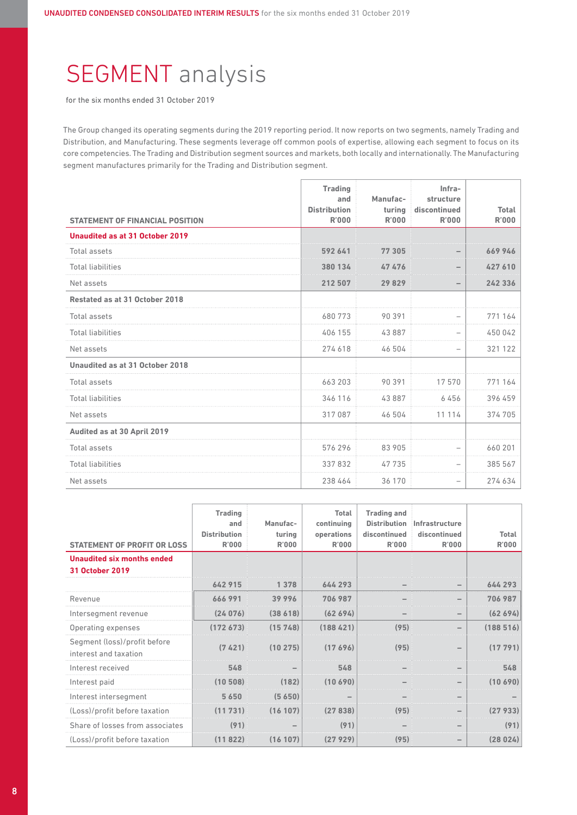# SEGMENT analysis

for the six months ended 31 October 2019

The Group changed its operating segments during the 2019 reporting period. It now reports on two segments, namely Trading and Distribution, and Manufacturing. These segments leverage off common pools of expertise, allowing each segment to focus on its core competencies. The Trading and Distribution segment sources and markets, both locally and internationally. The Manufacturing segment manufactures primarily for the Trading and Distribution segment.

|                                        | <b>Trading</b><br>and               | Manufac-               | Infra-<br>structure          |                       |
|----------------------------------------|-------------------------------------|------------------------|------------------------------|-----------------------|
| <b>STATEMENT OF FINANCIAL POSITION</b> | <b>Distribution</b><br><b>R'000</b> | turing<br><b>R'000</b> | discontinued<br><b>R'000</b> | Total<br><b>R'000</b> |
| Unaudited as at 31 October 2019        |                                     |                        |                              |                       |
| Total assets                           | 592 641                             | 77 305                 |                              | 669946                |
| <b>Total liabilities</b>               | 380 134                             | 47476                  |                              | 427 610               |
| Net assets                             | 212 507                             | 29829                  |                              | 242 336               |
| Restated as at 31 October 2018         |                                     |                        |                              |                       |
| Total assets                           | 680773                              | 90 391                 |                              | 771 164               |
| <b>Total liabilities</b>               | 406 155                             | 43887                  |                              | 450 042               |
| Net assets                             | 274 618                             | 46 504                 | $\overline{\phantom{0}}$     | 321 122               |
| Unaudited as at 31 October 2018        |                                     |                        |                              |                       |
| Total assets                           | 663 203                             | 90 391                 | 17570                        | 771 164               |
| <b>Total liabilities</b>               | 346 116                             | 43887                  | 6456                         | 396 459               |
| Net assets                             | 317 087                             | 46 504                 | 11 114                       | 374 705               |
| Audited as at 30 April 2019            |                                     |                        |                              |                       |
| <b>Total assets</b>                    | 576296                              | 83 905                 |                              | 660 201               |
| <b>Total liabilities</b>               | 337832                              | 47735                  |                              | 385 567               |
| Net assets                             | 238 464                             | 36 170                 |                              | 274 634               |

| <b>STATEMENT OF PROFIT OR LOSS</b>                          | <b>Trading</b><br>and<br><b>Distribution</b><br><b>R'000</b> | Manufac-<br>turing<br><b>R'000</b> | Total<br>continuing<br>operations<br>R'000 | <b>Trading and</b><br><b>Distribution</b><br>discontinued<br><b>R'000</b> | Infrastructure<br>discontinued<br>R'000 | <b>Total</b><br><b>R'000</b> |
|-------------------------------------------------------------|--------------------------------------------------------------|------------------------------------|--------------------------------------------|---------------------------------------------------------------------------|-----------------------------------------|------------------------------|
| <b>Unaudited six months ended</b><br><b>31 October 2019</b> |                                                              |                                    |                                            |                                                                           |                                         |                              |
|                                                             | 642915                                                       | 1 378                              | 644 293                                    |                                                                           |                                         | 644 293                      |
| Revenue                                                     | 666991                                                       | 39996                              | 706 987                                    |                                                                           |                                         | 706 987                      |
| Intersegment revenue                                        | (24076)                                                      | (38618)                            | (62694)                                    |                                                                           |                                         | (62694)                      |
| Operating expenses                                          | (172673)                                                     | (15748)                            | (188421)                                   | (95)                                                                      |                                         | (188516)                     |
| Segment (loss)/profit before<br>interest and taxation       | (7421)                                                       | (10275)                            | (17696)                                    | (95)                                                                      |                                         | (17791)                      |
| Interest received                                           | 548                                                          |                                    | 548                                        |                                                                           |                                         | 548                          |
| Interest paid                                               | 10 508                                                       |                                    | 1በ 69በ                                     |                                                                           |                                         | 690                          |
| Interest intersegment                                       | 5650                                                         | (5,650)                            |                                            |                                                                           |                                         |                              |
| (Loss)/profit before taxation                               | (11731)                                                      | (16107)                            | (27838)                                    | (95)                                                                      |                                         | 27 9331                      |
| Share of losses from associates                             | (91)                                                         |                                    | (91)                                       |                                                                           |                                         | (91)                         |
| (Loss)/profit before taxation                               | (11822)                                                      | (16107)                            | (27929)                                    | (95)                                                                      |                                         | (28024)                      |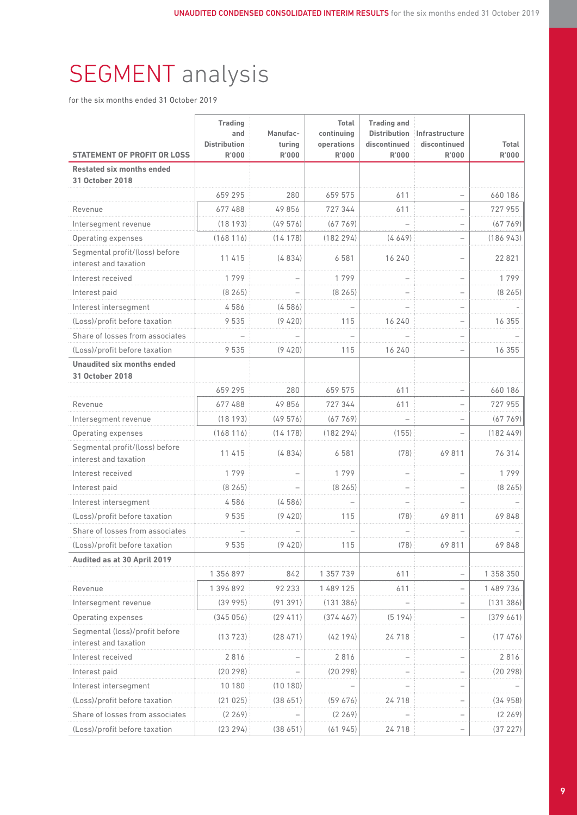# SEGMENT analysis

for the six months ended 31 October 2019

| <b>STATEMENT OF PROFIT OR LOSS</b>                          | <b>Trading</b><br>and<br><b>Distribution</b><br><b>R'000</b> | Manufac-<br>turing<br><b>R'000</b> | <b>Total</b><br>continuing<br>operations<br>R'000 | <b>Trading and</b><br><b>Distribution</b><br>discontinued<br><b>R'000</b> | Infrastructure<br>discontinued<br><b>R'000</b> | <b>Total</b><br><b>R'000</b> |
|-------------------------------------------------------------|--------------------------------------------------------------|------------------------------------|---------------------------------------------------|---------------------------------------------------------------------------|------------------------------------------------|------------------------------|
| <b>Restated six months ended</b>                            |                                                              |                                    |                                                   |                                                                           |                                                |                              |
| 31 October 2018                                             |                                                              |                                    |                                                   |                                                                           |                                                |                              |
|                                                             | 659 295                                                      | 280                                | 659 575                                           | 611                                                                       |                                                | 660 186                      |
| Revenue                                                     | 677488                                                       | 49856                              | 727 344                                           | 611                                                                       |                                                | 727 955                      |
| Intersegment revenue                                        | (18193)                                                      | (49576)                            | (67769)                                           |                                                                           |                                                | (67769)                      |
| Operating expenses                                          | (168116)                                                     | (14178)                            | (182294)                                          | (4649)                                                                    |                                                | (186943)                     |
| Segmental profit/(loss) before<br>interest and taxation     | 11 415                                                       | (4834)                             | 6 5 8 1                                           | 16 240                                                                    |                                                | 22 8 21                      |
| Interest received                                           | 1799                                                         |                                    | 1799                                              |                                                                           |                                                | 1799                         |
| Interest paid                                               | (8265)                                                       |                                    | (8265)                                            |                                                                           |                                                | (8265)                       |
| Interest intersegment                                       | 4586                                                         | (4586)                             |                                                   |                                                                           |                                                |                              |
| (Loss)/profit before taxation                               | 9535                                                         | (9,420)                            | 115                                               | 16 240                                                                    |                                                | 16 355                       |
| Share of losses from associates                             |                                                              |                                    |                                                   |                                                                           |                                                |                              |
| (Loss)/profit before taxation                               | 9535                                                         | (9,420)                            | 115                                               | 16 240                                                                    | $\overline{\phantom{0}}$                       | 16 355                       |
| <b>Unaudited six months ended</b><br><b>31 October 2018</b> |                                                              |                                    |                                                   |                                                                           |                                                |                              |
|                                                             | 659 295                                                      | 280                                | 659 575                                           | 611                                                                       |                                                | 660186                       |
| Revenue                                                     | 677488                                                       | 49856                              | 727344                                            | 611                                                                       |                                                | 727 955                      |
| Intersegment revenue                                        | (18193)                                                      | (49576)                            | (67769)                                           |                                                                           | $\overline{\phantom{0}}$                       | (67769)                      |
| Operating expenses                                          | (168116)                                                     | (14178)                            | (182294)                                          | (155)                                                                     |                                                | (182449)                     |
| Segmental profit/(loss) before<br>interest and taxation     | 11 415                                                       | (4834)                             | 6581                                              | (78)                                                                      | 69811                                          | 76 314                       |
| Interest received                                           | 1799                                                         |                                    | 1799                                              |                                                                           |                                                | 1799                         |
| Interest paid                                               | (8265)                                                       |                                    | (8265)                                            |                                                                           |                                                | (8265)                       |
| Interest intersegment                                       | 4586                                                         | (4586)                             |                                                   |                                                                           |                                                |                              |
| (Loss)/profit before taxation                               | 9535                                                         | (9, 420)                           | 115                                               | (78)                                                                      | 69811                                          | 69848                        |
| Share of losses from associates                             |                                                              |                                    |                                                   |                                                                           |                                                |                              |
| (Loss)/profit before taxation                               | 9535                                                         | (9,420)                            | 115                                               | (78)                                                                      | 69811                                          | 69848                        |
| Audited as at 30 April 2019                                 |                                                              |                                    |                                                   |                                                                           |                                                |                              |
|                                                             | 1 356 897                                                    | 842                                | 1 357 739                                         | 611                                                                       |                                                | 1 358 350                    |
| Revenue                                                     | 1 396 892                                                    | 92 233                             | 1 489 125                                         | 611                                                                       |                                                | 1 489 736                    |
| Intersegment reven                                          | (39995)                                                      | (91391)                            | (131386)                                          |                                                                           |                                                | (131386)                     |
| Operating expenses                                          | (345056)                                                     | (29, 411)                          | (374467)                                          | (5194)                                                                    |                                                | (379661)                     |
| Segmental (loss)/profit before<br>interest and taxation     | (13723)                                                      | (28471)                            | (42194)                                           | 24718                                                                     |                                                | (17476)                      |
| Interest received                                           | 2816                                                         |                                    | 2816                                              |                                                                           |                                                | 2816                         |
| Interest paid                                               | (20298)                                                      |                                    | (20 298)                                          |                                                                           |                                                | (20 298)                     |
| Interest intersegment                                       | 10 180                                                       | (10180)                            |                                                   |                                                                           |                                                |                              |
| (Loss)/profit before taxation                               | (21025)                                                      | (38 651)                           | (59676)                                           | 24718                                                                     |                                                | (34958)                      |
| Share of losses from associates                             | (2269)                                                       |                                    | (2269)                                            |                                                                           |                                                | (2 269)                      |
| (Loss)/profit before taxation                               | (23 294)                                                     | (38651)                            | (61945)                                           | 24718                                                                     |                                                | (37227)                      |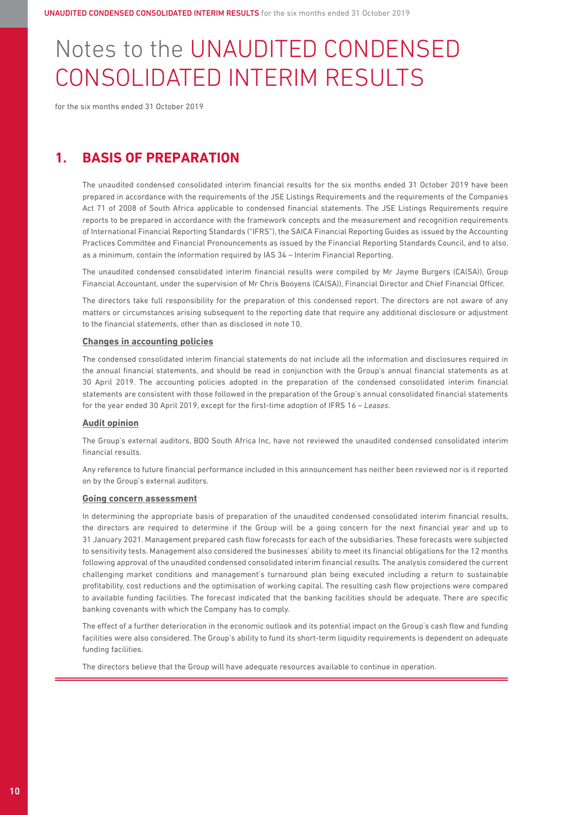# Notes to the UNAUDITED CONDENSED CONSOLIDATED INTERIM RESULTS

for the six months ended 31 October 2019

### **1. BASIS OF PREPARATION**

 The unaudited condensed consolidated interim financial results for the six months ended 31 October 2019 have been prepared in accordance with the requirements of the JSE Listings Requirements and the requirements of the Companies Act 71 of 2008 of South Africa applicable to condensed financial statements. The JSE Listings Requirements require reports to be prepared in accordance with the framework concepts and the measurement and recognition requirements of International Financial Reporting Standards ("IFRS"), the SAICA Financial Reporting Guides as issued by the Accounting Practices Committee and Financial Pronouncements as issued by the Financial Reporting Standards Council, and to also, as a minimum, contain the information required by IAS 34 – Interim Financial Reporting.

 The unaudited condensed consolidated interim financial results were compiled by Mr Jayme Burgers (CA(SA)), Group Financial Accountant, under the supervision of Mr Chris Booyens (CA(SA)), Financial Director and Chief Financial Officer.

 The directors take full responsibility for the preparation of this condensed report. The directors are not aware of any matters or circumstances arising subsequent to the reporting date that require any additional disclosure or adjustment to the financial statements, other than as disclosed in note 10.

#### **Changes in accounting policies**

 The condensed consolidated interim financial statements do not include all the information and disclosures required in the annual financial statements, and should be read in conjunction with the Group's annual financial statements as at 30 April 2019. The accounting policies adopted in the preparation of the condensed consolidated interim financial statements are consistent with those followed in the preparation of the Group's annual consolidated financial statements for the year ended 30 April 2019, except for the first-time adoption of IFRS 16 – *Leases*.

#### **Audit opinion**

 The Group's external auditors, BDO South Africa Inc, have not reviewed the unaudited condensed consolidated interim financial results.

 Any reference to future financial performance included in this announcement has neither been reviewed nor is it reported on by the Group's external auditors.

#### **Going concern assessment**

 In determining the appropriate basis of preparation of the unaudited condensed consolidated interim financial results, the directors are required to determine if the Group will be a going concern for the next financial year and up to 31 January 2021. Management prepared cash flow forecasts for each of the subsidiaries. These forecasts were subjected to sensitivity tests. Management also considered the businesses' ability to meet its financial obligations for the 12 months following approval of the unaudited condensed consolidated interim financial results. The analysis considered the current challenging market conditions and management's turnaround plan being executed including a return to sustainable profitability, cost reductions and the optimisation of working capital. The resulting cash flow projections were compared to available funding facilities. The forecast indicated that the banking facilities should be adequate. There are specific banking covenants with which the Company has to comply.

 The effect of a further deterioration in the economic outlook and its potential impact on the Group's cash flow and funding facilities were also considered. The Group's ability to fund its short-term liquidity requirements is dependent on adequate funding facilities.

The directors believe that the Group will have adequate resources available to continue in operation.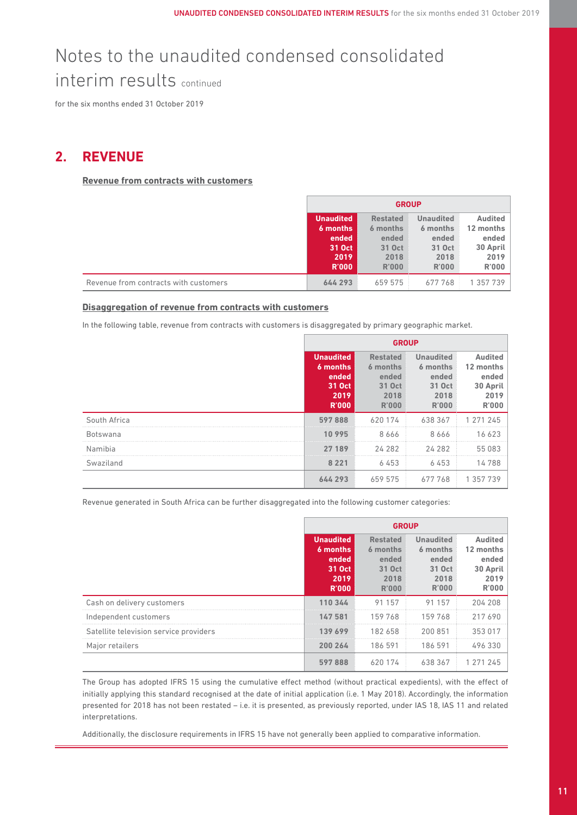for the six months ended 31 October 2019

### **2. REVENUE**

**Revenue from contracts with customers**

|                                       | <b>GROUP</b>                                                            |                                                                        |                                                                         |                                                                          |
|---------------------------------------|-------------------------------------------------------------------------|------------------------------------------------------------------------|-------------------------------------------------------------------------|--------------------------------------------------------------------------|
|                                       | <b>Unaudited</b><br>6 months<br>ended<br>31 Oct<br>2019<br><b>R'000</b> | <b>Restated</b><br>6 months<br>ended<br>31 Oct<br>2018<br><b>R'000</b> | <b>Unaudited</b><br>6 months<br>ended<br>31 Oct<br>2018<br><b>R'000</b> | <b>Audited</b><br>12 months<br>ended<br>30 April<br>2019<br><b>R'000</b> |
| Revenue from contracts with customers | 644 293                                                                 | 659 575                                                                | 677768                                                                  | 1 357 739                                                                |

### **Disaggregation of revenue from contracts with customers**

In the following table, revenue from contracts with customers is disaggregated by primary geographic market.

|                 | <b>GROUP</b>                                                            |                                                                 |                                                                         |                                                                          |
|-----------------|-------------------------------------------------------------------------|-----------------------------------------------------------------|-------------------------------------------------------------------------|--------------------------------------------------------------------------|
|                 | <b>Unaudited</b><br>6 months<br>ended<br>31 Oct<br>2019<br><b>R'000</b> | <b>Restated</b><br>6 months<br>ended<br>31 Oct<br>2018<br>R'000 | <b>Unaudited</b><br>6 months<br>ended<br>31 Oct<br>2018<br><b>R'000</b> | <b>Audited</b><br>12 months<br>ended<br>30 April<br>2019<br><b>R'000</b> |
| South Africa    | 597888                                                                  | 620174                                                          | 638 367                                                                 | 271 245                                                                  |
| <b>Botswana</b> | 10 995                                                                  | 8666                                                            | 8666                                                                    | 16623                                                                    |
| Namibia         | 27 189                                                                  | 24 28 2                                                         | 24 2 8 2                                                                | 55 083                                                                   |
| Swaziland       | 8 2 2 1                                                                 | 6453                                                            | 6453                                                                    | 14788                                                                    |
|                 | 644 293                                                                 | 659 575                                                         | 677768                                                                  | -357                                                                     |

Revenue generated in South Africa can be further disaggregated into the following customer categories:

|                                        |                                                                         | <b>GROUP</b>                                                    |                                                                         |                                                            |  |  |
|----------------------------------------|-------------------------------------------------------------------------|-----------------------------------------------------------------|-------------------------------------------------------------------------|------------------------------------------------------------|--|--|
|                                        | <b>Unaudited</b><br>6 months<br>ended<br>31 Oct<br>2019<br><b>R'000</b> | <b>Restated</b><br>6 months<br>ended<br>31 Oct<br>2018<br>R'000 | <b>Unaudited</b><br>6 months<br>ended<br>31 Oct<br>2018<br><b>R'000</b> | Audited<br>12 months<br>ended<br>30 April<br>2019<br>R'000 |  |  |
| Cash on delivery customers             | 110 344                                                                 | 91 157                                                          | 91 157                                                                  | 204 208                                                    |  |  |
| Independent customers                  | 147 581                                                                 | 159 768                                                         | 159768                                                                  | 217690                                                     |  |  |
| Satellite television service providers | 139 699                                                                 | 182 658                                                         | 200 851                                                                 | 353 017                                                    |  |  |
| Major retailers                        | 200 264                                                                 | 186 591                                                         | 186 591                                                                 | 496 330                                                    |  |  |
|                                        | 597888                                                                  | 620 174                                                         | 638 367                                                                 |                                                            |  |  |

 The Group has adopted IFRS 15 using the cumulative effect method (without practical expedients), with the effect of initially applying this standard recognised at the date of initial application (i.e. 1 May 2018). Accordingly, the information presented for 2018 has not been restated – i.e. it is presented, as previously reported, under IAS 18, IAS 11 and related interpretations.

Additionally, the disclosure requirements in IFRS 15 have not generally been applied to comparative information.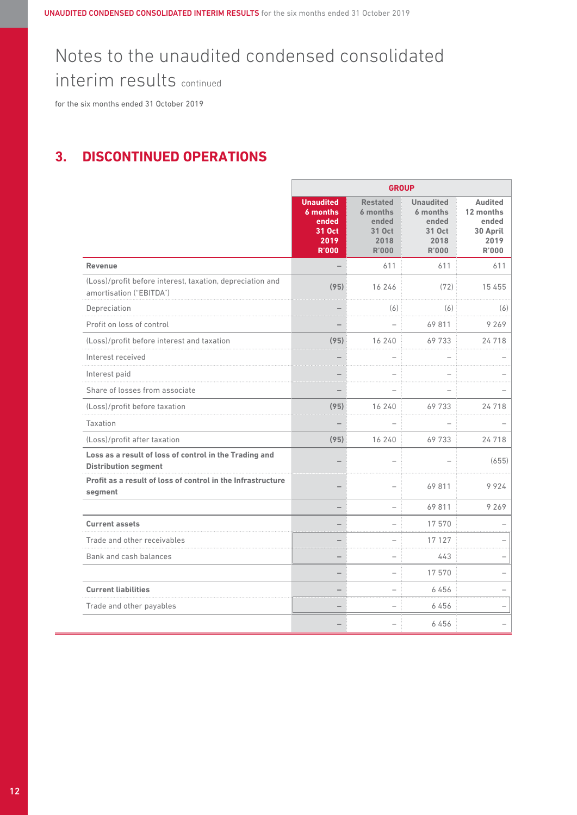# Notes to the unaudited condensed consolidated

interim results continued

for the six months ended 31 October 2019

### **3. DISCONTINUED OPERATIONS**

|                                                                                       | <b>GROUP</b>                                                            |                                                                        |                                                                         |                                                                          |  |
|---------------------------------------------------------------------------------------|-------------------------------------------------------------------------|------------------------------------------------------------------------|-------------------------------------------------------------------------|--------------------------------------------------------------------------|--|
|                                                                                       | <b>Unaudited</b><br>6 months<br>ended<br>31 Oct<br>2019<br><b>R'000</b> | <b>Restated</b><br>6 months<br>ended<br>31 Oct<br>2018<br><b>R'000</b> | <b>Unaudited</b><br>6 months<br>ended<br>31 Oct<br>2018<br><b>R'000</b> | <b>Audited</b><br>12 months<br>ended<br>30 April<br>2019<br><b>R'000</b> |  |
| <b>Revenue</b>                                                                        |                                                                         | 611                                                                    | 611                                                                     | 611                                                                      |  |
| (Loss)/profit before interest, taxation, depreciation and<br>amortisation ("EBITDA")  | (95)                                                                    | 16 246                                                                 | (72)                                                                    | 15 455                                                                   |  |
| Depreciation                                                                          |                                                                         | (6)                                                                    | (6)                                                                     | (6)                                                                      |  |
| Profit on loss of control                                                             |                                                                         |                                                                        | 69811                                                                   | 9 2 6 9                                                                  |  |
| (Loss)/profit before interest and taxation                                            | (95)                                                                    | 16 240                                                                 | 69733                                                                   | 24 718                                                                   |  |
| Interest received                                                                     |                                                                         |                                                                        |                                                                         |                                                                          |  |
| Interest paid                                                                         |                                                                         |                                                                        |                                                                         |                                                                          |  |
| Share of losses from associate                                                        |                                                                         |                                                                        |                                                                         |                                                                          |  |
| (Loss)/profit before taxation                                                         | (95)                                                                    | 16 240                                                                 | 69733                                                                   | 24 718                                                                   |  |
| <b>Taxation</b>                                                                       |                                                                         |                                                                        |                                                                         |                                                                          |  |
| (Loss)/profit after taxation                                                          | (95)                                                                    | 16 240                                                                 | 69733                                                                   | 24 718                                                                   |  |
| Loss as a result of loss of control in the Trading and<br><b>Distribution segment</b> |                                                                         |                                                                        |                                                                         | (655)                                                                    |  |
| Profit as a result of loss of control in the Infrastructure<br>segment                |                                                                         | ÷                                                                      | 69811                                                                   | 9924                                                                     |  |
|                                                                                       |                                                                         | $\overline{\phantom{0}}$                                               | 69811                                                                   | 9 2 6 9                                                                  |  |
| <b>Current assets</b>                                                                 |                                                                         | L.                                                                     | 17570                                                                   |                                                                          |  |
| Trade and other receivables                                                           |                                                                         | $\overline{\phantom{0}}$                                               | 17127                                                                   |                                                                          |  |
| Bank and cash balances                                                                |                                                                         | $\overline{\phantom{0}}$                                               | 443                                                                     |                                                                          |  |
|                                                                                       |                                                                         | $\overline{\phantom{0}}$                                               | 17570                                                                   |                                                                          |  |
| <b>Current liabilities</b>                                                            |                                                                         | ÷                                                                      | 6456                                                                    |                                                                          |  |
| Trade and other payables                                                              |                                                                         | $\overline{\phantom{0}}$                                               | 6456                                                                    | $\overline{\phantom{0}}$                                                 |  |
|                                                                                       |                                                                         |                                                                        | 6456                                                                    |                                                                          |  |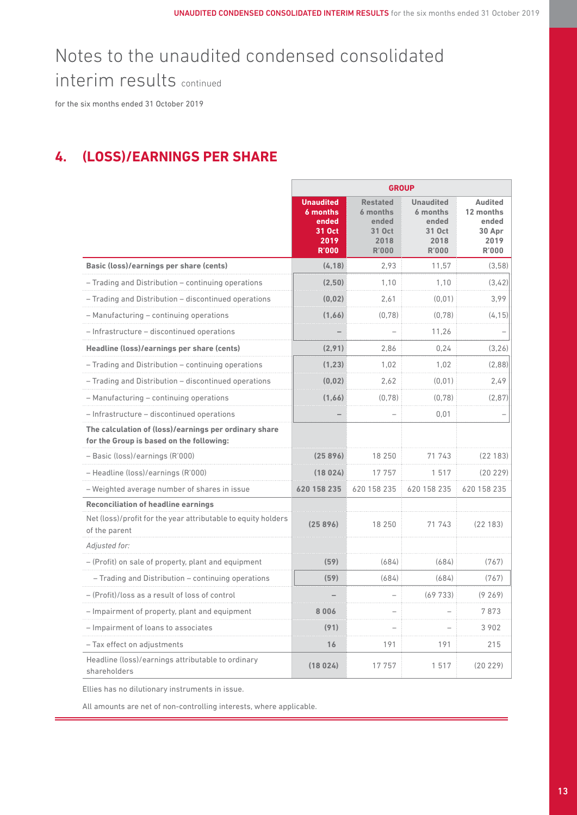for the six months ended 31 October 2019

### **4. (LOSS)/EARNINGS PER SHARE**

|                                                                                                   | <b>GROUP</b>                                                            |                                                                        |                                                                         |                                                                        |  |
|---------------------------------------------------------------------------------------------------|-------------------------------------------------------------------------|------------------------------------------------------------------------|-------------------------------------------------------------------------|------------------------------------------------------------------------|--|
|                                                                                                   | <b>Unaudited</b><br>6 months<br>ended<br>31 Oct<br>2019<br><b>R'000</b> | <b>Restated</b><br>6 months<br>ended<br>31 Oct<br>2018<br><b>R'000</b> | <b>Unaudited</b><br>6 months<br>ended<br>31 Oct<br>2018<br><b>R'000</b> | <b>Audited</b><br>12 months<br>ended<br>30 Apr<br>2019<br><b>R'000</b> |  |
| Basic (loss)/earnings per share (cents)                                                           | (4.18)                                                                  | 2.93                                                                   | 11.57                                                                   | (3.58)                                                                 |  |
| - Trading and Distribution - continuing operations                                                | (2,50)                                                                  | 1,10                                                                   | 1,10                                                                    | (3,42)                                                                 |  |
| - Trading and Distribution - discontinued operations                                              | (0.02)                                                                  | 2,61                                                                   | (0,01)                                                                  | 3,99                                                                   |  |
| - Manufacturing - continuing operations                                                           | (1.66)                                                                  | (0.78)                                                                 | (0.78)                                                                  | (4.15)                                                                 |  |
| - Infrastructure - discontinued operations                                                        |                                                                         |                                                                        | 11,26                                                                   |                                                                        |  |
| Headline (loss)/earnings per share (cents)                                                        | (2.91)                                                                  | 2.86                                                                   | 0.24                                                                    | (3.26)                                                                 |  |
| - Trading and Distribution - continuing operations                                                | (1.23)                                                                  | 1.02                                                                   | 1.02                                                                    | (2.88)                                                                 |  |
| - Trading and Distribution - discontinued operations                                              | (0.02)                                                                  | 2,62                                                                   | (0,01)                                                                  | 2,49                                                                   |  |
| - Manufacturing - continuing operations                                                           | (1.66)                                                                  | (0, 78)                                                                | (0, 78)                                                                 | (2, 87)                                                                |  |
| - Infrastructure - discontinued operations                                                        |                                                                         |                                                                        | 0.01                                                                    |                                                                        |  |
| The calculation of (loss)/earnings per ordinary share<br>for the Group is based on the following: |                                                                         |                                                                        |                                                                         |                                                                        |  |
| - Basic (loss)/earnings (R'000)                                                                   | (25896)                                                                 | 18 250                                                                 | 71 743                                                                  | (22183)                                                                |  |
| - Headline (loss)/earnings (R'000)                                                                | (18024)                                                                 | 17757                                                                  | 1517                                                                    | (20 229)                                                               |  |
| - Weighted average number of shares in issue                                                      | 620 158 235                                                             | 620 158 235                                                            | 620 158 235                                                             | 620 158 235                                                            |  |
| <b>Reconciliation of headline earnings</b>                                                        |                                                                         |                                                                        |                                                                         |                                                                        |  |
| Net (loss)/profit for the year attributable to equity holders<br>of the parent                    | (25896)                                                                 | 18 250                                                                 | 71 743                                                                  | (22183)                                                                |  |
| Adjusted for:                                                                                     |                                                                         |                                                                        |                                                                         |                                                                        |  |
| - (Profit) on sale of property, plant and equipment                                               | (59)                                                                    | (684)                                                                  | (684)                                                                   | (767)                                                                  |  |
| - Trading and Distribution - continuing operations                                                | (59)                                                                    | (684)                                                                  | (684)                                                                   | (767)                                                                  |  |
| - (Profit)/loss as a result of loss of control                                                    |                                                                         |                                                                        | (69733)                                                                 | (9269)                                                                 |  |
| - Impairment of property, plant and equipment                                                     | 006                                                                     |                                                                        |                                                                         | 7873                                                                   |  |
| - Impairment of loans to associates                                                               | (91)                                                                    |                                                                        |                                                                         | 3 9 0 2                                                                |  |
| - Tax effect on adjustments                                                                       | 16                                                                      | 191                                                                    | 191                                                                     | 215                                                                    |  |
| Headline (loss)/earnings attributable to ordinary<br>shareholders                                 | (18024)                                                                 | 17 757                                                                 | 1517                                                                    | (20229)                                                                |  |

Ellies has no dilutionary instruments in issue.

All amounts are net of non-controlling interests, where applicable.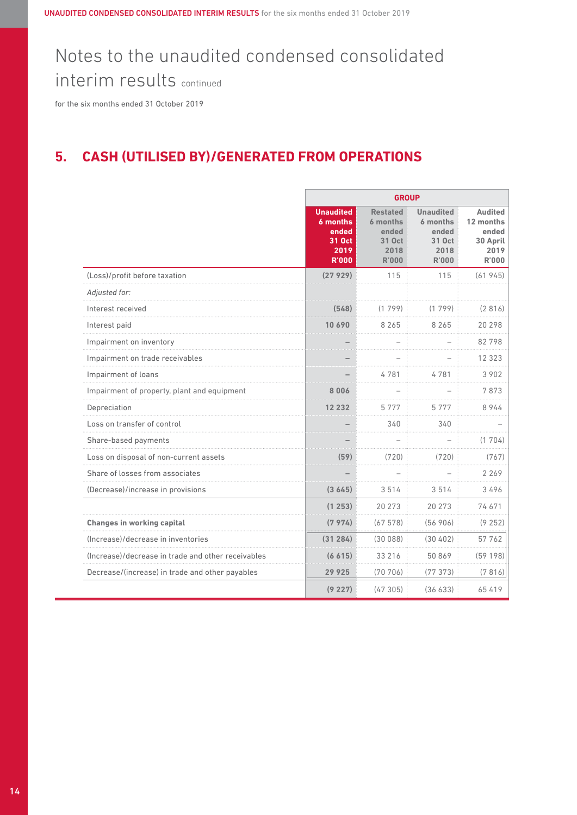# Notes to the unaudited condensed consolidated

interim results continued

for the six months ended 31 October 2019

### **5. CASH (UTILISED BY)/GENERATED FROM OPERATIONS**

|                                                    | <b>GROUP</b>                                                            |                                                                        |                                                                         |                                                                   |
|----------------------------------------------------|-------------------------------------------------------------------------|------------------------------------------------------------------------|-------------------------------------------------------------------------|-------------------------------------------------------------------|
|                                                    | <b>Unaudited</b><br>6 months<br>ended<br>31 Oct<br>2019<br><b>R'000</b> | <b>Restated</b><br>6 months<br>ended<br>31 Oct<br>2018<br><b>R'000</b> | <b>Unaudited</b><br>6 months<br>ended<br>31 Oct<br>2018<br><b>R'000</b> | <b>Audited</b><br>12 months<br>ended<br>30 April<br>2019<br>R'000 |
| (Loss)/profit before taxation                      | (27929)                                                                 | 115                                                                    | 115                                                                     | (61945)                                                           |
| Adjusted for:                                      |                                                                         |                                                                        |                                                                         |                                                                   |
| Interest received                                  | (548)                                                                   | (1799)                                                                 | (1799)                                                                  | (2816)                                                            |
| Interest paid                                      | 10 690                                                                  | 8 2 6 5                                                                | 8 2 6 5                                                                 | 20 298                                                            |
| Impairment on inventory                            |                                                                         |                                                                        |                                                                         | 82798                                                             |
| Impairment on trade receivables                    |                                                                         |                                                                        |                                                                         | 12 3 2 3                                                          |
| Impairment of loans                                |                                                                         | 4781                                                                   | 4781                                                                    | 3 9 0 2                                                           |
| Impairment of property, plant and equipment        | 8 006                                                                   |                                                                        |                                                                         | 7873                                                              |
| Depreciation                                       | 12 232                                                                  | 5777                                                                   | 5777                                                                    | 8944                                                              |
| Loss on transfer of control                        |                                                                         | 340                                                                    | 340                                                                     |                                                                   |
| Share-based payments                               |                                                                         |                                                                        |                                                                         | (1704)                                                            |
| Loss on disposal of non-current assets             | (59)                                                                    | (720)                                                                  | (720)                                                                   | (767)                                                             |
| Share of losses from associates                    |                                                                         |                                                                        |                                                                         | 2 2 6 9                                                           |
| (Decrease)/increase in provisions                  | (3645)                                                                  | 3514                                                                   | 3514                                                                    | 3496                                                              |
|                                                    | (1253)                                                                  | 20 273                                                                 | 20 273                                                                  | 74671                                                             |
| <b>Changes in working capital</b>                  | (7974)                                                                  | (67578)                                                                | (56906)                                                                 | (9252)                                                            |
| (Increase)/decrease in inventories                 | (31284)                                                                 | (30088)                                                                | (30402)                                                                 | 57762                                                             |
| (Increase)/decrease in trade and other receivables | (6 615)                                                                 | 33 216                                                                 | 50869                                                                   | (59198)                                                           |
| Decrease/(increase) in trade and other payables    | 29925                                                                   | (70706)                                                                | (77373)                                                                 | (7816)                                                            |
|                                                    | (9227)                                                                  | (47305)                                                                | (36633)                                                                 | 65419                                                             |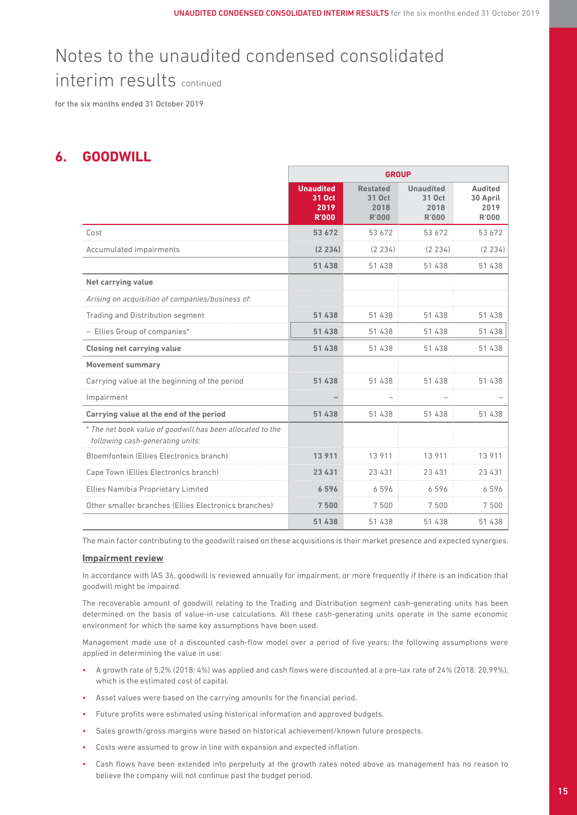for the six months ended 31 October 2019

### **6. GOODWILL**

|                                                                                                | <b>GROUP</b>                                       |                                                   |                                                    |                                                    |
|------------------------------------------------------------------------------------------------|----------------------------------------------------|---------------------------------------------------|----------------------------------------------------|----------------------------------------------------|
|                                                                                                | <b>Unaudited</b><br>31 Oct<br>2019<br><b>R'000</b> | <b>Restated</b><br>31 Oct<br>2018<br><b>R'000</b> | <b>Unaudited</b><br>31 Oct<br>2018<br><b>R'000</b> | <b>Audited</b><br>30 April<br>2019<br><b>R'000</b> |
| Cost                                                                                           | 53 672                                             | 53 672                                            | 53 672                                             | 53 672                                             |
| Accumulated impairments                                                                        | (2234)                                             | (2 234)                                           | (2 234)                                            | (2 234)                                            |
|                                                                                                | 51 438                                             | 51 438                                            | 51 438                                             | 51 438                                             |
| Net carrying value                                                                             |                                                    |                                                   |                                                    |                                                    |
| Arising on acquisition of companies/business of:                                               |                                                    |                                                   |                                                    |                                                    |
| <b>Trading and Distribution segment</b>                                                        | 51 438                                             | 51 438                                            | 51 438                                             | 51 438                                             |
| - Ellies Group of companies*                                                                   | 51 438                                             | 51 438                                            | 51 438                                             | 51 438                                             |
| <b>Closing net carrying value</b>                                                              | 51 438                                             | 51 438                                            | 51 438                                             | 51 438                                             |
| <b>Movement summary</b>                                                                        |                                                    |                                                   |                                                    |                                                    |
| Carrying value at the beginning of the period                                                  | 51 438                                             | 51 438                                            | 51 438                                             | 51 438                                             |
| Impairment                                                                                     |                                                    |                                                   |                                                    |                                                    |
| Carrying value at the end of the period                                                        | 51 438                                             | 51 438                                            | 51 438                                             | 51 438                                             |
| * The net book value of goodwill has been allocated to the<br>following cash-generating units: |                                                    |                                                   |                                                    |                                                    |
| Bloemfontein (Ellies Electronics branch)                                                       | 13 911                                             | 13911                                             | 13 911                                             | 13911                                              |
| Cape Town (Ellies Electronics branch)                                                          | 23 431                                             | 23 4 31                                           | 23 4 31                                            | 23 4 31                                            |
| Ellies Namibia Proprietary Limited                                                             | 6596                                               | 6596                                              | 6596                                               | 6596                                               |
| Other smaller branches (Ellies Electronics branches)                                           | 7500                                               | 7500                                              | 7500                                               | 7500                                               |
|                                                                                                | 51 438                                             | 51 438                                            | 51 438                                             | 51 438                                             |

The main factor contributing to the goodwill raised on these acquisitions is their market presence and expected synergies.

### **Impairment review**

 In accordance with IAS 36, goodwill is reviewed annually for impairment, or more frequently if there is an indication that goodwill might be impaired.

 The recoverable amount of goodwill relating to the Trading and Distribution segment cash-generating units has been determined on the basis of value-in-use calculations. All these cash-generating units operate in the same economic environment for which the same key assumptions have been used.

 Management made use of a discounted cash-flow model over a period of five years; the following assumptions were applied in determining the value in use:

- A growth rate of 5,2% (2018: 4%) was applied and cash flows were discounted at a pre-tax rate of 24% (2018: 20,99%), which is the estimated cost of capital.
- Asset values were based on the carrying amounts for the financial period.
- Future profits were estimated using historical information and approved budgets.
- Sales growth/gross margins were based on historical achievement/known future prospects.
- Costs were assumed to grow in line with expansion and expected inflation.
- Cash flows have been extended into perpetuity at the growth rates noted above as management has no reason to believe the company will not continue past the budget period.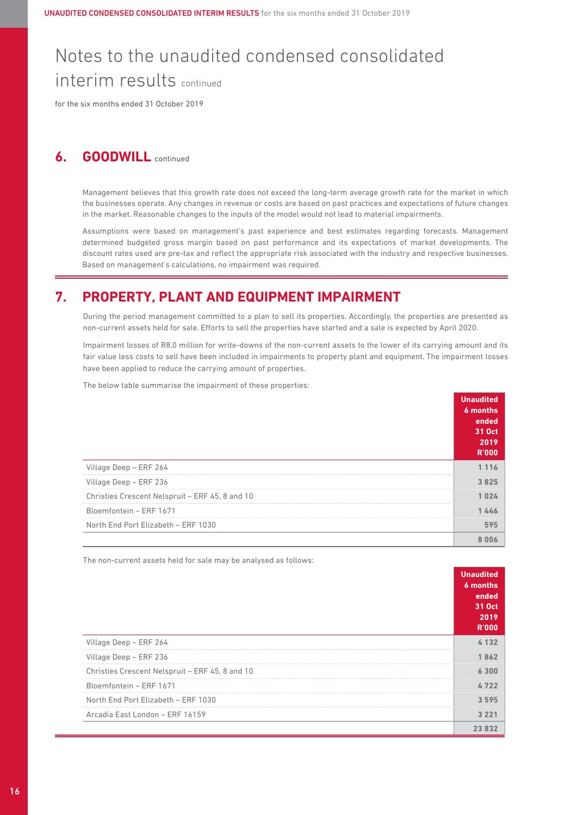for the six months ended 31 October 2019

### **6. GOODWILL** continued

 Management believes that this growth rate does not exceed the long-term average growth rate for the market in which the businesses operate. Any changes in revenue or costs are based on past practices and expectations of future changes in the market. Reasonable changes to the inputs of the model would not lead to material impairments.

 Assumptions were based on management's past experience and best estimates regarding forecasts. Management determined budgeted gross margin based on past performance and its expectations of market developments. The discount rates used are pre-tax and reflect the appropriate risk associated with the industry and respective businesses. Based on management's calculations, no impairment was required.

### **7. PROPERTY, PLANT AND EQUIPMENT IMPAIRMENT**

 During the period management committed to a plan to sell its properties. Accordingly, the properties are presented as non-current assets held for sale. Efforts to sell the properties have started and a sale is expected by April 2020.

 Impairment losses of R8,0 million for write-downs of the non-current assets to the lower of its carrying amount and its fair value less costs to sell have been included in impairments to property plant and equipment. The impairment losses have been applied to reduce the carrying amount of properties.

The below table summarise the impairment of these properties:

|                                                 | <b>Unaudited</b><br>6 months<br>ended<br>31 Oct<br>2019<br><b>R'OOO</b> |
|-------------------------------------------------|-------------------------------------------------------------------------|
| Village Deep - ERF 264                          |                                                                         |
| Village Deep - ERF 236                          |                                                                         |
| Christies Crescent Nelspruit - ERF 45, 8 and 10 |                                                                         |
| Bloemfontein - ERF 1671                         |                                                                         |
| North End Port Elizabeth - ERF 1030             |                                                                         |
|                                                 |                                                                         |

The non-current assets held for sale may be analysed as follows:

|                                                 | <b>Unaudited</b><br>6 months<br>ended<br>31 Oct<br>2019<br><b>R'000</b> |
|-------------------------------------------------|-------------------------------------------------------------------------|
| Village Deep - ERF 264                          | 132                                                                     |
| Village Deep - ERF 236                          | 1 862                                                                   |
| Christies Crescent Nelspruit - ERF 45, 8 and 10 |                                                                         |
| Bloemfontein - ERF 1671                         |                                                                         |
| North End Port Elizabeth - ERF 1030             | 3595                                                                    |
| Arcadia East London - ERF 16159                 | 3 2 2 1                                                                 |
|                                                 | 23.832                                                                  |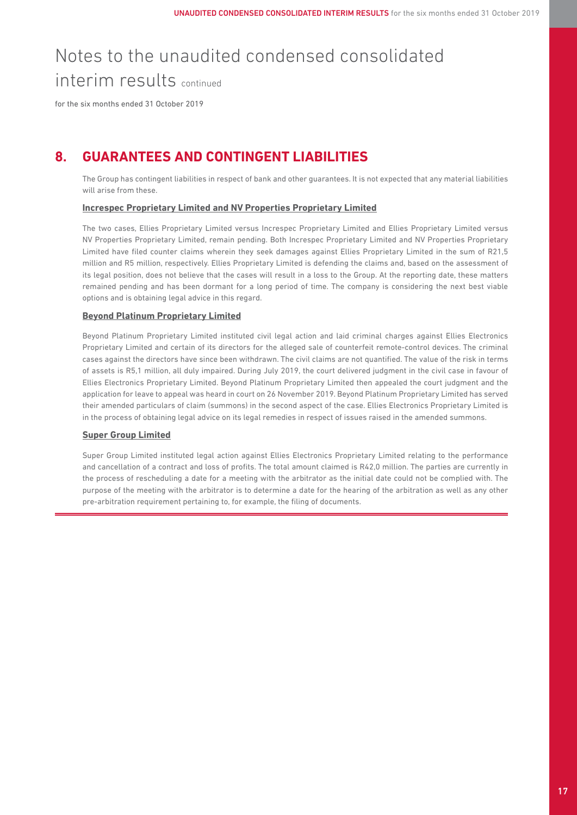for the six months ended 31 October 2019

### **8. GUARANTEES AND CONTINGENT LIABILITIES**

 The Group has contingent liabilities in respect of bank and other guarantees. It is not expected that any material liabilities will arise from these

### **Increspec Proprietary Limited and NV Properties Proprietary Limited**

 The two cases, Ellies Proprietary Limited versus Increspec Proprietary Limited and Ellies Proprietary Limited versus NV Properties Proprietary Limited, remain pending. Both Increspec Proprietary Limited and NV Properties Proprietary Limited have filed counter claims wherein they seek damages against Ellies Proprietary Limited in the sum of R21,5 million and R5 million, respectively. Ellies Proprietary Limited is defending the claims and, based on the assessment of its legal position, does not believe that the cases will result in a loss to the Group. At the reporting date, these matters remained pending and has been dormant for a long period of time. The company is considering the next best viable options and is obtaining legal advice in this regard.

### **Beyond Platinum Proprietary Limited**

 Beyond Platinum Proprietary Limited instituted civil legal action and laid criminal charges against Ellies Electronics Proprietary Limited and certain of its directors for the alleged sale of counterfeit remote-control devices. The criminal cases against the directors have since been withdrawn. The civil claims are not quantified. The value of the risk in terms of assets is R5,1 million, all duly impaired. During July 2019, the court delivered judgment in the civil case in favour of Ellies Electronics Proprietary Limited. Beyond Platinum Proprietary Limited then appealed the court judgment and the application for leave to appeal was heard in court on 26 November 2019. Beyond Platinum Proprietary Limited has served their amended particulars of claim (summons) in the second aspect of the case. Ellies Electronics Proprietary Limited is in the process of obtaining legal advice on its legal remedies in respect of issues raised in the amended summons.

### **Super Group Limited**

 Super Group Limited instituted legal action against Ellies Electronics Proprietary Limited relating to the performance and cancellation of a contract and loss of profits. The total amount claimed is R42,0 million. The parties are currently in the process of rescheduling a date for a meeting with the arbitrator as the initial date could not be complied with. The purpose of the meeting with the arbitrator is to determine a date for the hearing of the arbitration as well as any other pre-arbitration requirement pertaining to, for example, the filing of documents.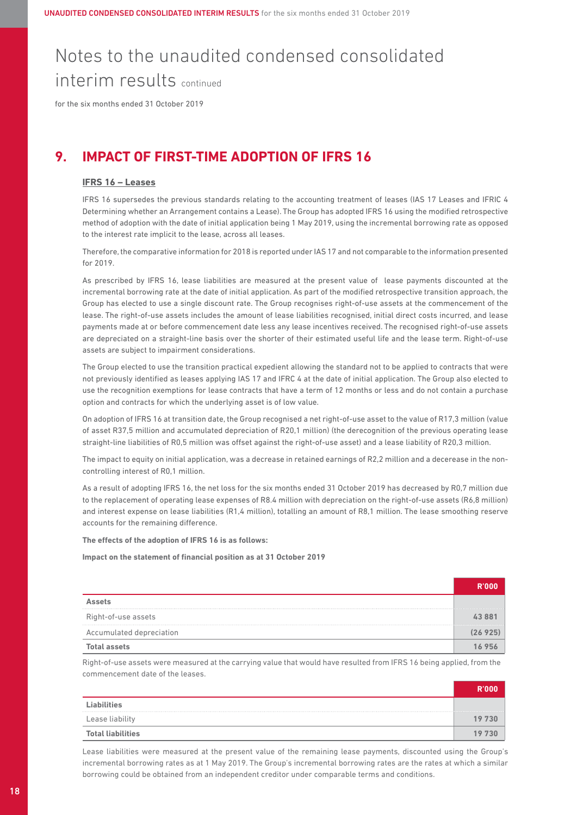for the six months ended 31 October 2019

### **9. IMPACT OF FIRST-TIME ADOPTION OF IFRS 16**

#### **IFRS 16 – Leases**

 IFRS 16 supersedes the previous standards relating to the accounting treatment of leases (IAS 17 Leases and IFRIC 4 Determining whether an Arrangement contains a Lease). The Group has adopted IFRS 16 using the modified retrospective method of adoption with the date of initial application being 1 May 2019, using the incremental borrowing rate as opposed to the interest rate implicit to the lease, across all leases.

 Therefore, the comparative information for 2018 is reported under IAS 17 and not comparable to the information presented for 2019.

 As prescribed by IFRS 16, lease liabilities are measured at the present value of lease payments discounted at the incremental borrowing rate at the date of initial application. As part of the modified retrospective transition approach, the Group has elected to use a single discount rate. The Group recognises right-of-use assets at the commencement of the lease. The right-of-use assets includes the amount of lease liabilities recognised, initial direct costs incurred, and lease payments made at or before commencement date less any lease incentives received. The recognised right-of-use assets are depreciated on a straight-line basis over the shorter of their estimated useful life and the lease term. Right-of-use assets are subject to impairment considerations.

 The Group elected to use the transition practical expedient allowing the standard not to be applied to contracts that were not previously identified as leases applying IAS 17 and IFRC 4 at the date of initial application. The Group also elected to use the recognition exemptions for lease contracts that have a term of 12 months or less and do not contain a purchase option and contracts for which the underlying asset is of low value.

 On adoption of IFRS 16 at transition date, the Group recognised a net right-of-use asset to the value of R17,3 million (value of asset R37,5 million and accumulated depreciation of R20,1 million) (the derecognition of the previous operating lease straight-line liabilities of R0,5 million was offset against the right-of-use asset) and a lease liability of R20,3 million.

 The impact to equity on initial application, was a decrease in retained earnings of R2,2 million and a decerease in the noncontrolling interest of R0,1 million.

 As a result of adopting IFRS 16, the net loss for the six months ended 31 October 2019 has decreased by R0,7 million due to the replacement of operating lease expenses of R8.4 million with depreciation on the right-of-use assets (R6,8 million) and interest expense on lease liabilities (R1,4 million), totalling an amount of R8,1 million. The lease smoothing reserve accounts for the remaining difference.

#### **The effects of the adoption of IFRS 16 is as follows:**

#### **Impact on the statement of financial position as at 31 October 2019**

| Right-of-use assets      |  |
|--------------------------|--|
| Accumulated depreciation |  |
|                          |  |

Right-of-use assets were measured at the carrying value that would have resulted from IFRS 16 being applied, from the commencement date of the leases.

| <b>Liabilities</b>       |        |
|--------------------------|--------|
| Lease liability          | 19 730 |
| <b>Total liabilities</b> | 19 73N |

 Lease liabilities were measured at the present value of the remaining lease payments, discounted using the Group's incremental borrowing rates as at 1 May 2019. The Group's incremental borrowing rates are the rates at which a similar borrowing could be obtained from an independent creditor under comparable terms and conditions.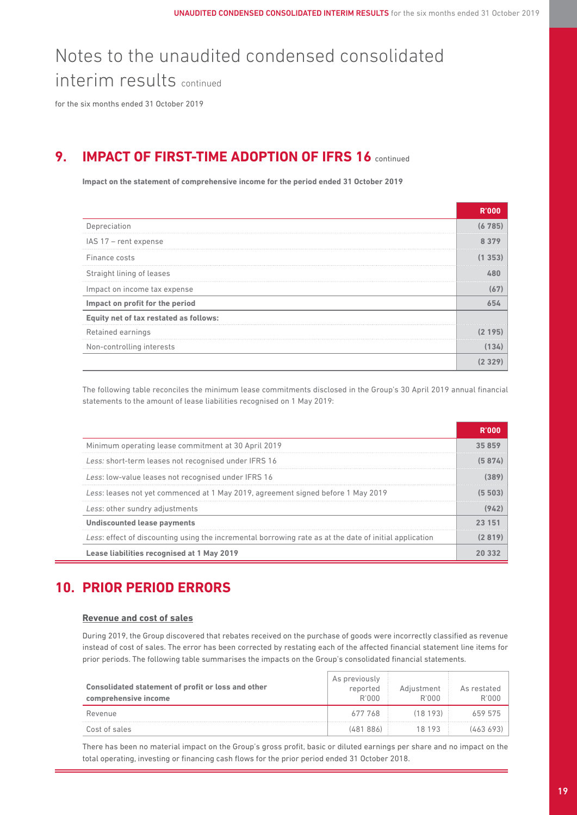for the six months ended 31 October 2019

### **9. IMPACT OF FIRST-TIME ADOPTION OF IFRS 16 continued**

**Impact on the statement of comprehensive income for the period ended 31 October 2019**

| Depreciation                           |       |
|----------------------------------------|-------|
| IAS 17 - rent expense                  |       |
| Finance costs                          |       |
| Straight lining of leases              |       |
| Impact on income tax expense           | (67   |
| Impact on profit for the period        |       |
| Equity net of tax restated as follows: |       |
| Retained earnings                      | 195   |
| Non-controlling interests              | (134) |
|                                        |       |

 The following table reconciles the minimum lease commitments disclosed in the Group's 30 April 2019 annual financial statements to the amount of lease liabilities recognised on 1 May 2019:

| Minimum operating lease commitment at 30 April 2019                                                    |         |
|--------------------------------------------------------------------------------------------------------|---------|
| Less: short-term leases not recognised under IFRS 16                                                   | (5 874) |
| Less: low-value leases not recognised under IFRS 16                                                    |         |
| Less: leases not yet commenced at 1 May 2019, agreement signed before 1 May 2019                       |         |
| Less: other sundry adjustments                                                                         | (942)   |
| <b>Undiscounted lease payments</b>                                                                     |         |
| Less: effect of discounting using the incremental borrowing rate as at the date of initial application |         |
| Lease liabilities recognised at 1 May 2019                                                             |         |

### **10. PRIOR PERIOD ERRORS**

### **Revenue and cost of sales**

 During 2019, the Group discovered that rebates received on the purchase of goods were incorrectly classified as revenue instead of cost of sales. The error has been corrected by restating each of the affected financial statement line items for prior periods. The following table summarises the impacts on the Group's consolidated financial statements.

| Consolidated statement of profit or loss and other<br>comprehensive income | As previously<br>reported<br>R'000 | Adiustment<br>R'000 | As restated<br>R'OOO |
|----------------------------------------------------------------------------|------------------------------------|---------------------|----------------------|
| Revenue                                                                    | 677 768                            | (18 193)            | 659 575              |
| Cost of sales                                                              | (481886)                           | 18 193              | (463 693)            |

 There has been no material impact on the Group's gross profit, basic or diluted earnings per share and no impact on the total operating, investing or financing cash flows for the prior period ended 31 October 2018.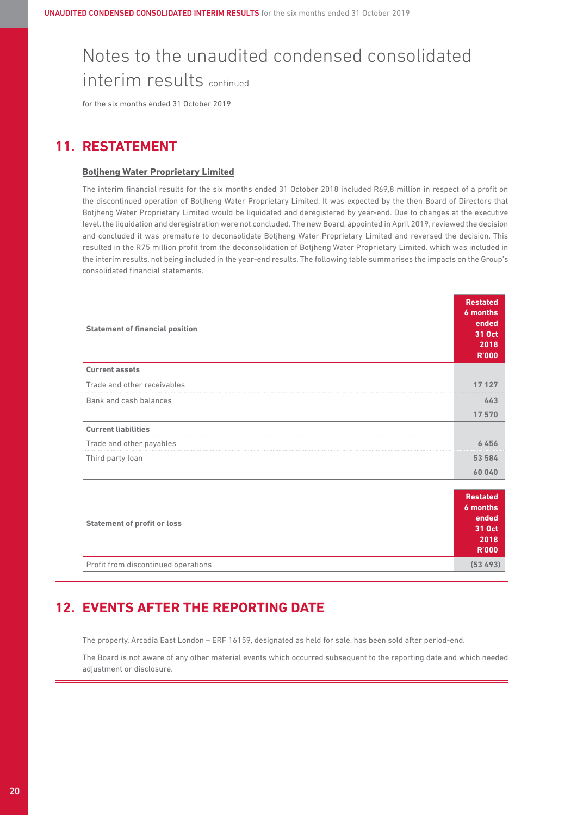for the six months ended 31 October 2019

### **11. RESTATEMENT**

#### **Botjheng Water Proprietary Limited**

 The interim financial results for the six months ended 31 October 2018 included R69,8 million in respect of a profit on the discontinued operation of Botjheng Water Proprietary Limited. It was expected by the then Board of Directors that Botjheng Water Proprietary Limited would be liquidated and deregistered by year-end. Due to changes at the executive level, the liquidation and deregistration were not concluded. The new Board, appointed in April 2019, reviewed the decision and concluded it was premature to deconsolidate Botjheng Water Proprietary Limited and reversed the decision. This resulted in the R75 million profit from the deconsolidation of Botjheng Water Proprietary Limited, which was included in the interim results, not being included in the year-end results. The following table summarises the impacts on the Group's consolidated financial statements.

| <b>Statement of financial position</b> | <b>Restated</b><br>$6$ months<br>ended<br>31 Oct<br>2018<br><b>R'000</b> |
|----------------------------------------|--------------------------------------------------------------------------|
| <b>Current assets</b>                  |                                                                          |
| Trade and other receivables            | 17 127                                                                   |
| Bank and cash balances                 | 443                                                                      |
|                                        | 17570                                                                    |
| <b>Current liabilities</b>             |                                                                          |
| Trade and other payables               | 6456                                                                     |
| Third party loan                       | 53 584                                                                   |
|                                        | 60040                                                                    |

| <b>Statement of profit or loss</b>  | <b>Restated</b><br>6 months |
|-------------------------------------|-----------------------------|
|                                     | ended<br>31 Oct<br>2018     |
|                                     | <b>R'000</b>                |
| Profit from discontinued operations | (53 493)                    |

### **12. EVENTS AFTER THE REPORTING DATE**

The property, Arcadia East London – ERF 16159, designated as held for sale, has been sold after period-end.

 The Board is not aware of any other material events which occurred subsequent to the reporting date and which needed adjustment or disclosure.